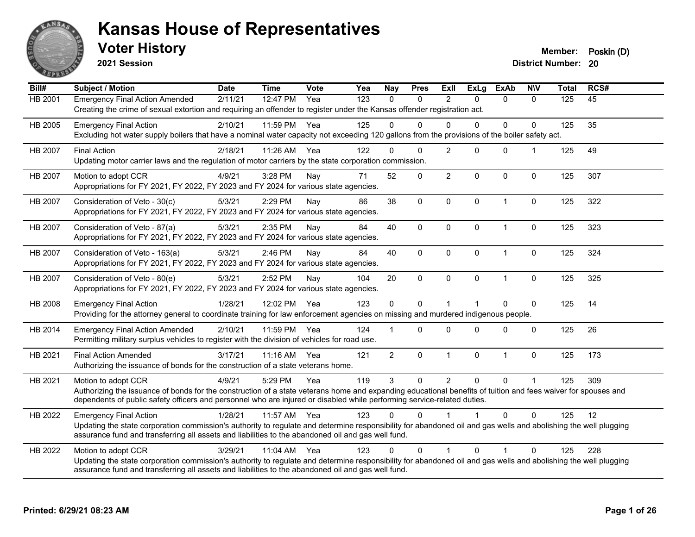

**2021 Session**

**District Number: 20 Voter History Member: Poskin (D)** 

**Bill# Subject / Motion Date Time Vote Yea Nay Pres Exll ExLg ExAb N\V Total RCS#** HB 2001 Emergency Final Action Amended 2/11/21 12:47 PM Yea 123 0 0 2 0 0 0 125 45 Creating the crime of sexual extortion and requiring an offender to register under the Kansas offender registration act. HB 2005 Emergency Final Action 2/10/21 11:59 PM Yea 125 0 0 0 0 0 0 125 35 Excluding hot water supply boilers that have a nominal water capacity not exceeding 120 gallons from the provisions of the boiler safety act. HB 2007 Final Action 2/18/21 11:26 AM Yea 122 0 0 2 0 0 1 125 49 Updating motor carrier laws and the regulation of motor carriers by the state corporation commission. HB 2007 Motion to adopt CCR 4/9/21 3:28 PM Nay 71 52 0 2 0 0 0 125 307 Appropriations for FY 2021, FY 2022, FY 2023 and FY 2024 for various state agencies. HB 2007 Consideration of Veto - 30(c) 5/3/21 2:29 PM Nay 86 38 0 0 0 1 0 125 322 Appropriations for FY 2021, FY 2022, FY 2023 and FY 2024 for various state agencies. HB 2007 Consideration of Veto - 87(a) 5/3/21 2:35 PM Nay 84 40 0 0 0 1 0 125 323 Appropriations for FY 2021, FY 2022, FY 2023 and FY 2024 for various state agencies. HB 2007 Consideration of Veto - 163(a) 5/3/21 2:46 PM Nay 84 40 0 0 0 1 0 125 324 Appropriations for FY 2021, FY 2022, FY 2023 and FY 2024 for various state agencies. HB 2007 Consideration of Veto - 80(e) 5/3/21 2:52 PM Nay 104 20 0 0 0 1 0 125 325 Appropriations for FY 2021, FY 2022, FY 2023 and FY 2024 for various state agencies. HB 2008 Emergency Final Action 1/28/21 12:02 PM Yea 123 0 0 1 1 0 0 125 14 Providing for the attorney general to coordinate training for law enforcement agencies on missing and murdered indigenous people. HB 2014 Emergency Final Action Amended 2/10/21 11:59 PM Yea 124 1 0 0 0 0 0 0 125 26 Permitting military surplus vehicles to register with the division of vehicles for road use. HB 2021 Final Action Amended 3/17/21 11:16 AM Yea 121 2 0 1 0 1 0 125 173 Authorizing the issuance of bonds for the construction of a state veterans home. HB 2021 Motion to adopt CCR 4/9/21 5:29 PM Yea 119 3 0 2 0 0 1 125 309 Authorizing the issuance of bonds for the construction of a state veterans home and expanding educational benefits of tuition and fees waiver for spouses and dependents of public safety officers and personnel who are injured or disabled while performing service-related duties. HB 2022 Emergency Final Action 1/28/21 11:57 AM Yea 123 0 0 1 1 0 0 125 12 Updating the state corporation commission's authority to regulate and determine responsibility for abandoned oil and gas wells and abolishing the well plugging assurance fund and transferring all assets and liabilities to the abandoned oil and gas well fund. HB 2022 Motion to adopt CCR 3/29/21 11:04 AM Yea 123 0 0 1 0 1 0 125 228 Updating the state corporation commission's authority to regulate and determine responsibility for abandoned oil and gas wells and abolishing the well plugging assurance fund and transferring all assets and liabilities to the abandoned oil and gas well fund.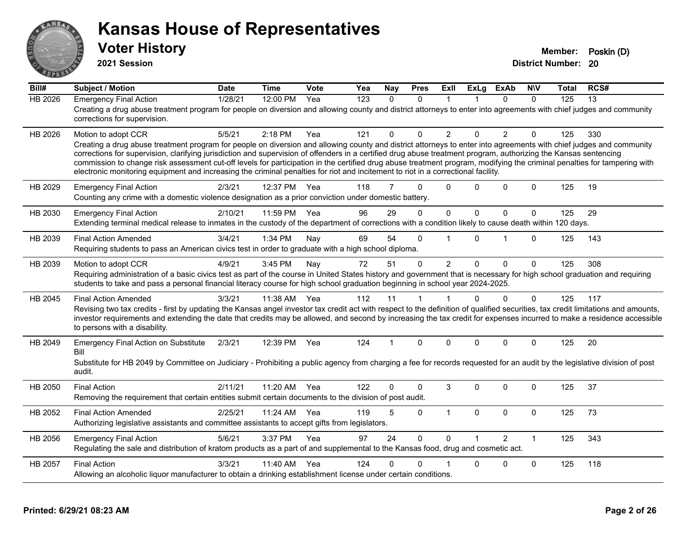

**2021 Session**

| Bill#          | <b>Subject / Motion</b>                                                                                                                                                                                                                                                                                                                                                                                                                                                                                                                                                                                                                                                         | <b>Date</b> | <b>Time</b> | Vote | Yea              | Nay          | <b>Pres</b> | ExII           | <b>ExLg</b>  | <b>ExAb</b>   | <b>NIV</b>   | Total | RCS# |
|----------------|---------------------------------------------------------------------------------------------------------------------------------------------------------------------------------------------------------------------------------------------------------------------------------------------------------------------------------------------------------------------------------------------------------------------------------------------------------------------------------------------------------------------------------------------------------------------------------------------------------------------------------------------------------------------------------|-------------|-------------|------|------------------|--------------|-------------|----------------|--------------|---------------|--------------|-------|------|
| <b>HB 2026</b> | <b>Emergency Final Action</b><br>Creating a drug abuse treatment program for people on diversion and allowing county and district attorneys to enter into agreements with chief judges and community<br>corrections for supervision.                                                                                                                                                                                                                                                                                                                                                                                                                                            | 1/28/21     | 12:00 PM    | Yea  | $\overline{123}$ | $\mathbf{0}$ | $\Omega$    | 1              |              | $\Omega$      | $\Omega$     | 125   | 13   |
| HB 2026        | Motion to adopt CCR<br>Creating a drug abuse treatment program for people on diversion and allowing county and district attorneys to enter into agreements with chief judges and community<br>corrections for supervision, clarifying jurisdiction and supervision of offenders in a certified drug abuse treatment program, authorizing the Kansas sentencing<br>commission to change risk assessment cut-off levels for participation in the certified drug abuse treatment program, modifying the criminal penalties for tampering with<br>electronic monitoring equipment and increasing the criminal penalties for riot and incitement to riot in a correctional facility. | 5/5/21      | $2:18$ PM   | Yea  | 121              | $\Omega$     | $\Omega$    | $\overline{2}$ | $\Omega$     | 2             | $\mathbf{0}$ | 125   | 330  |
| HB 2029        | <b>Emergency Final Action</b><br>Counting any crime with a domestic violence designation as a prior conviction under domestic battery.                                                                                                                                                                                                                                                                                                                                                                                                                                                                                                                                          | 2/3/21      | 12:37 PM    | Yea  | 118              | 7            | $\Omega$    | $\Omega$       | $\Omega$     | $\Omega$      | $\mathbf{0}$ | 125   | 19   |
| HB 2030        | <b>Emergency Final Action</b><br>Extending terminal medical release to inmates in the custody of the department of corrections with a condition likely to cause death within 120 days.                                                                                                                                                                                                                                                                                                                                                                                                                                                                                          | 2/10/21     | 11:59 PM    | Yea  | 96               | 29           | $\Omega$    | $\mathbf 0$    | $\mathbf{0}$ | $\Omega$      | $\Omega$     | 125   | 29   |
| HB 2039        | <b>Final Action Amended</b><br>Requiring students to pass an American civics test in order to graduate with a high school diploma.                                                                                                                                                                                                                                                                                                                                                                                                                                                                                                                                              | 3/4/21      | 1:34 PM     | Nay  | 69               | 54           | $\Omega$    |                | $\Omega$     | 1             | $\mathbf{0}$ | 125   | 143  |
| HB 2039        | Motion to adopt CCR<br>Requiring administration of a basic civics test as part of the course in United States history and government that is necessary for high school graduation and requiring<br>students to take and pass a personal financial literacy course for high school graduation beginning in school year 2024-2025.                                                                                                                                                                                                                                                                                                                                                | 4/9/21      | 3:45 PM     | Nay  | 72               | 51           | $\Omega$    | $\overline{2}$ | $\Omega$     | $\Omega$      | $\mathbf 0$  | 125   | 308  |
| HB 2045        | <b>Final Action Amended</b><br>Revising two tax credits - first by updating the Kansas angel investor tax credit act with respect to the definition of qualified securities, tax credit limitations and amounts,<br>investor requirements and extending the date that credits may be allowed, and second by increasing the tax credit for expenses incurred to make a residence accessible<br>to persons with a disability.                                                                                                                                                                                                                                                     | 3/3/21      | 11:38 AM    | Yea  | 112              | 11           |             |                | $\Omega$     | $\Omega$      | $\mathbf 0$  | 125   | 117  |
| HB 2049        | <b>Emergency Final Action on Substitute</b><br>Bill<br>Substitute for HB 2049 by Committee on Judiciary - Prohibiting a public agency from charging a fee for records requested for an audit by the legislative division of post<br>audit.                                                                                                                                                                                                                                                                                                                                                                                                                                      | 2/3/21      | 12:39 PM    | Yea  | 124              |              | $\Omega$    | $\Omega$       | $\Omega$     | $\mathbf{0}$  | $\mathbf{0}$ | 125   | 20   |
| HB 2050        | <b>Final Action</b><br>Removing the requirement that certain entities submit certain documents to the division of post audit.                                                                                                                                                                                                                                                                                                                                                                                                                                                                                                                                                   | 2/11/21     | 11:20 AM    | Yea  | 122              | 0            | $\Omega$    | 3              | $\Omega$     | $\Omega$      | $\mathbf{0}$ | 125   | 37   |
| HB 2052        | <b>Final Action Amended</b><br>Authorizing legislative assistants and committee assistants to accept gifts from legislators.                                                                                                                                                                                                                                                                                                                                                                                                                                                                                                                                                    | 2/25/21     | 11:24 AM    | Yea  | 119              | 5            | $\Omega$    | $\mathbf{1}$   | $\mathbf{0}$ | $\mathbf{0}$  | $\mathbf 0$  | 125   | 73   |
| HB 2056        | <b>Emergency Final Action</b><br>Regulating the sale and distribution of kratom products as a part of and supplemental to the Kansas food, drug and cosmetic act.                                                                                                                                                                                                                                                                                                                                                                                                                                                                                                               | 5/6/21      | 3:37 PM     | Yea  | 97               | 24           | $\Omega$    | $\Omega$       |              | $\mathcal{P}$ | $\mathbf{1}$ | 125   | 343  |
| HB 2057        | <b>Final Action</b><br>Allowing an alcoholic liquor manufacturer to obtain a drinking establishment license under certain conditions.                                                                                                                                                                                                                                                                                                                                                                                                                                                                                                                                           | 3/3/21      | 11:40 AM    | Yea  | 124              | 0            | 0           |                | $\Omega$     | $\Omega$      | $\mathbf 0$  | 125   | 118  |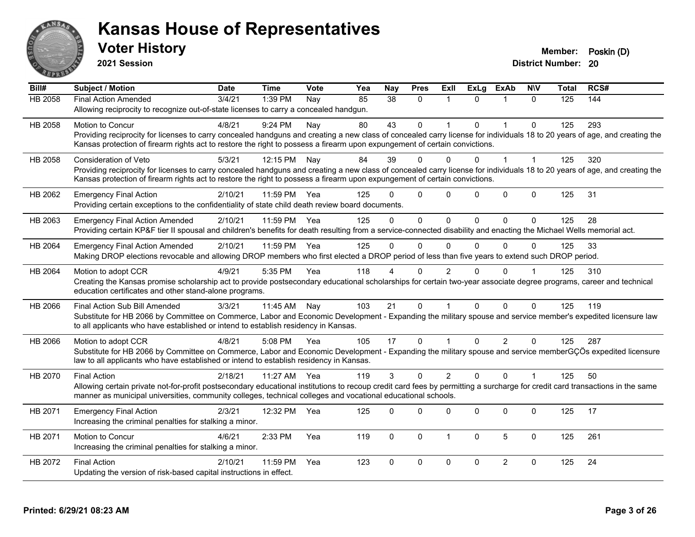

**2021 Session**

| Bill#          | <b>Subject / Motion</b>                                                                                                                                                      | <b>Date</b> | <b>Time</b>  | <b>Vote</b> | Yea | <b>Nay</b>    | <b>Pres</b>  | Exll           | <b>ExLg</b> | <b>ExAb</b>    | <b>NIV</b>   | <b>Total</b> | RCS# |
|----------------|------------------------------------------------------------------------------------------------------------------------------------------------------------------------------|-------------|--------------|-------------|-----|---------------|--------------|----------------|-------------|----------------|--------------|--------------|------|
| <b>HB 2058</b> | <b>Final Action Amended</b>                                                                                                                                                  | 3/4/21      | 1:39 PM      | Nay         | 85  | 38            | $\Omega$     |                | $\Omega$    |                | $\Omega$     | 125          | 144  |
|                | Allowing reciprocity to recognize out-of-state licenses to carry a concealed handgun.                                                                                        |             |              |             |     |               |              |                |             |                |              |              |      |
| HB 2058        | Motion to Concur                                                                                                                                                             | 4/8/21      | 9:24 PM      | Nay         | 80  | 43            | $\mathbf 0$  |                | $\Omega$    | $\overline{1}$ | $\mathbf 0$  | 125          | 293  |
|                | Providing reciprocity for licenses to carry concealed handguns and creating a new class of concealed carry license for individuals 18 to 20 years of age, and creating the   |             |              |             |     |               |              |                |             |                |              |              |      |
|                | Kansas protection of firearm rights act to restore the right to possess a firearm upon expungement of certain convictions.                                                   |             |              |             |     |               |              |                |             |                |              |              |      |
| HB 2058        | <b>Consideration of Veto</b>                                                                                                                                                 | 5/3/21      | 12:15 PM     | Nay         | 84  | 39            | $\Omega$     | 0              | 0           |                |              | 125          | 320  |
|                | Providing reciprocity for licenses to carry concealed handguns and creating a new class of concealed carry license for individuals 18 to 20 years of age, and creating the   |             |              |             |     |               |              |                |             |                |              |              |      |
|                | Kansas protection of firearm rights act to restore the right to possess a firearm upon expungement of certain convictions.                                                   |             |              |             |     |               |              |                |             |                |              |              |      |
| HB 2062        | <b>Emergency Final Action</b>                                                                                                                                                | 2/10/21     | 11:59 PM     | Yea         | 125 | U             | $\mathbf 0$  | $\Omega$       | $\Omega$    | $\pmb{0}$      | $\mathbf 0$  | 125          | 31   |
|                | Providing certain exceptions to the confidentiality of state child death review board documents.                                                                             |             |              |             |     |               |              |                |             |                |              |              |      |
| HB 2063        | <b>Emergency Final Action Amended</b>                                                                                                                                        | 2/10/21     | 11:59 PM Yea |             | 125 | $\Omega$      | $\mathbf{0}$ | $\Omega$       | 0           | $\Omega$       | $\Omega$     | 125          | 28   |
|                | Providing certain KP&F tier II spousal and children's benefits for death resulting from a service-connected disability and enacting the Michael Wells memorial act.          |             |              |             |     |               |              |                |             |                |              |              |      |
| HB 2064        | <b>Emergency Final Action Amended</b>                                                                                                                                        | 2/10/21     | 11:59 PM     | Yea         | 125 | $\Omega$      | $\mathbf{0}$ | $\mathbf{0}$   | $\Omega$    | $\Omega$       | $\Omega$     | 125          | 33   |
|                | Making DROP elections revocable and allowing DROP members who first elected a DROP period of less than five years to extend such DROP period.                                |             |              |             |     |               |              |                |             |                |              |              |      |
| HB 2064        | Motion to adopt CCR                                                                                                                                                          | 4/9/21      | 5:35 PM      | Yea         | 118 |               | $\Omega$     | $\overline{2}$ |             | $\Omega$       |              | 125          | 310  |
|                | Creating the Kansas promise scholarship act to provide postsecondary educational scholarships for certain two-year associate degree programs, career and technical           |             |              |             |     |               |              |                |             |                |              |              |      |
|                | education certificates and other stand-alone programs.                                                                                                                       |             |              |             |     |               |              |                |             |                |              |              |      |
| HB 2066        | Final Action Sub Bill Amended                                                                                                                                                | 3/3/21      | 11:45 AM     | Nay         | 103 | 21            | $\mathbf 0$  |                | $\Omega$    | $\Omega$       | $\Omega$     | 125          | 119  |
|                | Substitute for HB 2066 by Committee on Commerce, Labor and Economic Development - Expanding the military spouse and service member's expedited licensure law                 |             |              |             |     |               |              |                |             |                |              |              |      |
|                | to all applicants who have established or intend to establish residency in Kansas.                                                                                           |             |              |             |     |               |              |                |             |                |              |              |      |
| HB 2066        | Motion to adopt CCR                                                                                                                                                          | 4/8/21      | 5:08 PM      | Yea         | 105 | 17            | $\Omega$     |                | $\Omega$    | $\overline{2}$ | $\Omega$     | 125          | 287  |
|                | Substitute for HB 2066 by Committee on Commerce, Labor and Economic Development - Expanding the military spouse and service memberGÇÖs expedited licensure                   |             |              |             |     |               |              |                |             |                |              |              |      |
|                | law to all applicants who have established or intend to establish residency in Kansas.                                                                                       |             |              |             |     |               |              |                |             |                |              |              |      |
| HB 2070        | <b>Final Action</b>                                                                                                                                                          | 2/18/21     | 11:27 AM     | Yea         | 119 | $\mathcal{S}$ | $\Omega$     | $\overline{2}$ | $\Omega$    | $\Omega$       | $\mathbf{1}$ | 125          | 50   |
|                | Allowing certain private not-for-profit postsecondary educational institutions to recoup credit card fees by permitting a surcharge for credit card transactions in the same |             |              |             |     |               |              |                |             |                |              |              |      |
|                | manner as municipal universities, community colleges, technical colleges and vocational educational schools.                                                                 |             |              |             |     |               |              |                |             |                |              |              |      |
| HB 2071        | <b>Emergency Final Action</b>                                                                                                                                                | 2/3/21      | 12:32 PM     | Yea         | 125 | $\Omega$      | $\Omega$     | $\Omega$       | $\Omega$    | 0              | $\Omega$     | 125          | 17   |
|                | Increasing the criminal penalties for stalking a minor.                                                                                                                      |             |              |             |     |               |              |                |             |                |              |              |      |
|                |                                                                                                                                                                              | 4/6/21      |              |             |     |               |              | 1              |             | 5              |              |              | 261  |
| HB 2071        | Motion to Concur<br>Increasing the criminal penalties for stalking a minor.                                                                                                  |             | 2:33 PM      | Yea         | 119 | 0             | $\mathbf 0$  |                | 0           |                | $\mathbf 0$  | 125          |      |
|                |                                                                                                                                                                              |             |              |             |     |               |              |                |             |                |              |              |      |
| HB 2072        | <b>Final Action</b>                                                                                                                                                          | 2/10/21     | 11:59 PM     | Yea         | 123 | $\Omega$      | $\mathbf 0$  | $\mathbf 0$    | $\Omega$    | $\overline{2}$ | $\mathbf 0$  | 125          | 24   |
|                | Updating the version of risk-based capital instructions in effect.                                                                                                           |             |              |             |     |               |              |                |             |                |              |              |      |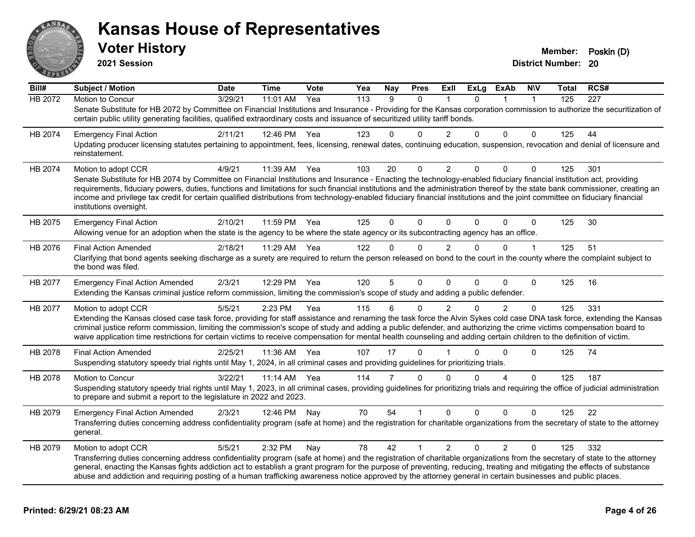

| Bill#   | <b>Subject / Motion</b>                                                                                                                                                                                                                                                                                                                                                                                                                                                                                                                                       | <b>Date</b> | Time     | Vote | Yea | Nay         | <b>Pres</b> | ExII           | <b>ExLg</b> | <b>ExAb</b>    | <b>NIV</b>     | Total | RCS# |
|---------|---------------------------------------------------------------------------------------------------------------------------------------------------------------------------------------------------------------------------------------------------------------------------------------------------------------------------------------------------------------------------------------------------------------------------------------------------------------------------------------------------------------------------------------------------------------|-------------|----------|------|-----|-------------|-------------|----------------|-------------|----------------|----------------|-------|------|
| HB 2072 | <b>Motion to Concur</b>                                                                                                                                                                                                                                                                                                                                                                                                                                                                                                                                       | 3/29/21     | 11:01 AM | Yea  | 113 | 9           | $\Omega$    |                | $\Omega$    |                | $\overline{1}$ | 125   | 227  |
|         | Senate Substitute for HB 2072 by Committee on Financial Institutions and Insurance - Providing for the Kansas corporation commission to authorize the securitization of<br>certain public utility generating facilities, qualified extraordinary costs and issuance of securitized utility tariff bonds.                                                                                                                                                                                                                                                      |             |          |      |     |             |             |                |             |                |                |       |      |
| HB 2074 | <b>Emergency Final Action</b>                                                                                                                                                                                                                                                                                                                                                                                                                                                                                                                                 | 2/11/21     | 12:46 PM | Yea  | 123 | 0           | 0           | $\mathcal{P}$  | $\Omega$    | $\Omega$       | $\Omega$       | 125   | 44   |
|         | Updating producer licensing statutes pertaining to appointment, fees, licensing, renewal dates, continuing education, suspension, revocation and denial of licensure and<br>reinstatement.                                                                                                                                                                                                                                                                                                                                                                    |             |          |      |     |             |             |                |             |                |                |       |      |
| HB 2074 | Motion to adopt CCR                                                                                                                                                                                                                                                                                                                                                                                                                                                                                                                                           | 4/9/21      | 11:39 AM | Yea  | 103 | 20          | $\mathbf 0$ | $\overline{2}$ | 0           | $\mathbf 0$    | $\Omega$       | 125   | 301  |
|         | Senate Substitute for HB 2074 by Committee on Financial Institutions and Insurance - Enacting the technology-enabled fiduciary financial institution act, providing<br>requirements, fiduciary powers, duties, functions and limitations for such financial institutions and the administration thereof by the state bank commissioner, creating an<br>income and privilege tax credit for certain qualified distributions from technology-enabled fiduciary financial institutions and the joint committee on fiduciary financial<br>institutions oversight. |             |          |      |     |             |             |                |             |                |                |       |      |
| HB 2075 | <b>Emergency Final Action</b>                                                                                                                                                                                                                                                                                                                                                                                                                                                                                                                                 | 2/10/21     | 11:59 PM | Yea  | 125 | $\mathbf 0$ | $\Omega$    | $\Omega$       | $\Omega$    | $\Omega$       | $\Omega$       | 125   | 30   |
|         | Allowing venue for an adoption when the state is the agency to be where the state agency or its subcontracting agency has an office.                                                                                                                                                                                                                                                                                                                                                                                                                          |             |          |      |     |             |             |                |             |                |                |       |      |
| HB 2076 | <b>Final Action Amended</b>                                                                                                                                                                                                                                                                                                                                                                                                                                                                                                                                   | 2/18/21     | 11:29 AM | Yea  | 122 | $\Omega$    | $\Omega$    | $\mathcal{P}$  | $\Omega$    | $\Omega$       |                | 125   | 51   |
|         | Clarifying that bond agents seeking discharge as a surety are required to return the person released on bond to the court in the county where the complaint subject to<br>the bond was filed.                                                                                                                                                                                                                                                                                                                                                                 |             |          |      |     |             |             |                |             |                |                |       |      |
| HB 2077 | <b>Emergency Final Action Amended</b>                                                                                                                                                                                                                                                                                                                                                                                                                                                                                                                         | 2/3/21      | 12:29 PM | Yea  | 120 | 5           | $\Omega$    | $\Omega$       | $\Omega$    | $\Omega$       | $\Omega$       | 125   | 16   |
|         | Extending the Kansas criminal justice reform commission, limiting the commission's scope of study and adding a public defender.                                                                                                                                                                                                                                                                                                                                                                                                                               |             |          |      |     |             |             |                |             |                |                |       |      |
| HB 2077 | Motion to adopt CCR                                                                                                                                                                                                                                                                                                                                                                                                                                                                                                                                           | 5/5/21      | 2:23 PM  | Yea  | 115 | 6           | $\Omega$    | $\mathcal{P}$  | $\Omega$    | $\overline{2}$ | $\Omega$       | 125   | 331  |
|         | Extending the Kansas closed case task force, providing for staff assistance and renaming the task force the Alvin Sykes cold case DNA task force, extending the Kansas<br>criminal justice reform commission, limiting the commission's scope of study and adding a public defender, and authorizing the crime victims compensation board to<br>waive application time restrictions for certain victims to receive compensation for mental health counseling and adding certain children to the definition of victim.                                         |             |          |      |     |             |             |                |             |                |                |       |      |
| HB 2078 | <b>Final Action Amended</b>                                                                                                                                                                                                                                                                                                                                                                                                                                                                                                                                   | 2/25/21     | 11:36 AM | Yea  | 107 | 17          | 0           |                | $\Omega$    | $\Omega$       | 0              | 125   | 74   |
|         | Suspending statutory speedy trial rights until May 1, 2024, in all criminal cases and providing guidelines for prioritizing trials.                                                                                                                                                                                                                                                                                                                                                                                                                           |             |          |      |     |             |             |                |             |                |                |       |      |
| HB 2078 | Motion to Concur                                                                                                                                                                                                                                                                                                                                                                                                                                                                                                                                              | 3/22/21     | 11:14 AM | Yea  | 114 | 7           | $\Omega$    | $\Omega$       | $\Omega$    | 4              | $\Omega$       | 125   | 187  |
|         | Suspending statutory speedy trial rights until May 1, 2023, in all criminal cases, providing guidelines for prioritizing trials and requiring the office of judicial administration<br>to prepare and submit a report to the legislature in 2022 and 2023.                                                                                                                                                                                                                                                                                                    |             |          |      |     |             |             |                |             |                |                |       |      |
| HB 2079 | <b>Emergency Final Action Amended</b>                                                                                                                                                                                                                                                                                                                                                                                                                                                                                                                         | 2/3/21      | 12:46 PM | Nay  | 70  | 54          |             | $\Omega$       | $\Omega$    | $\Omega$       | 0              | 125   | 22   |
|         | Transferring duties concerning address confidentiality program (safe at home) and the registration for charitable organizations from the secretary of state to the attorney<br>general.                                                                                                                                                                                                                                                                                                                                                                       |             |          |      |     |             |             |                |             |                |                |       |      |
| HB 2079 | Motion to adopt CCR                                                                                                                                                                                                                                                                                                                                                                                                                                                                                                                                           | 5/5/21      | 2:32 PM  | Nay  | 78  | 42          | 1           | $\overline{2}$ | $\Omega$    | $\overline{2}$ | $\Omega$       | 125   | 332  |
|         | Transferring duties concerning address confidentiality program (safe at home) and the registration of charitable organizations from the secretary of state to the attorney<br>general, enacting the Kansas fights addiction act to establish a grant program for the purpose of preventing, reducing, treating and mitigating the effects of substance<br>abuse and addiction and requiring posting of a human trafficking awareness notice approved by the attorney general in certain businesses and public places.                                         |             |          |      |     |             |             |                |             |                |                |       |      |
|         |                                                                                                                                                                                                                                                                                                                                                                                                                                                                                                                                                               |             |          |      |     |             |             |                |             |                |                |       |      |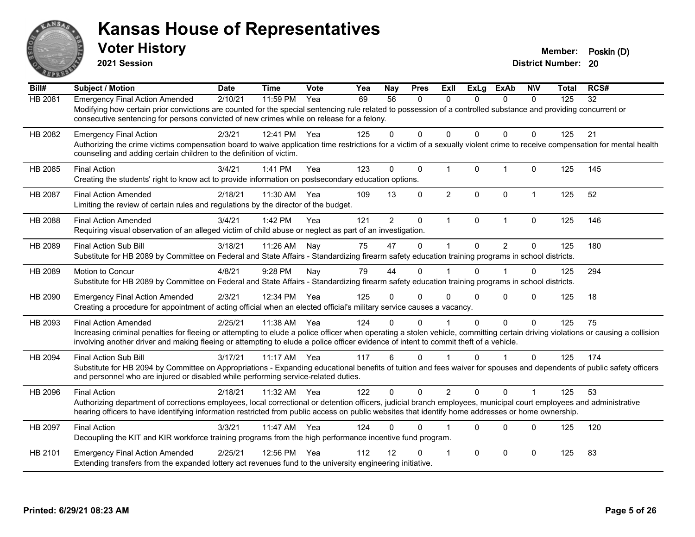

**2021 Session**

| Bill#          | <b>Subject / Motion</b>                                                                                                                                                          | <b>Date</b> | <b>Time</b> | Vote | Yea | <b>Nay</b>     | <b>Pres</b>  | <b>ExII</b>    | <b>ExLg</b>  | <b>ExAb</b>    | <b>NIV</b>           | Total | RCS# |
|----------------|----------------------------------------------------------------------------------------------------------------------------------------------------------------------------------|-------------|-------------|------|-----|----------------|--------------|----------------|--------------|----------------|----------------------|-------|------|
| HB 2081        | <b>Emergency Final Action Amended</b>                                                                                                                                            | 2/10/21     | 11:59 PM    | Yea  | 69  | 56             | $\mathbf{0}$ | 0              | 0            | 0              | $\mathbf{0}$         | 125   | 32   |
|                | Modifying how certain prior convictions are counted for the special sentencing rule related to possession of a controlled substance and providing concurrent or                  |             |             |      |     |                |              |                |              |                |                      |       |      |
|                | consecutive sentencing for persons convicted of new crimes while on release for a felony.                                                                                        |             |             |      |     |                |              |                |              |                |                      |       |      |
| HB 2082        | <b>Emergency Final Action</b>                                                                                                                                                    | 2/3/21      | 12:41 PM    | Yea  | 125 | 0              | $\Omega$     | $\Omega$       | $\Omega$     | 0              | $\Omega$             | 125   | 21   |
|                | Authorizing the crime victims compensation board to waive application time restrictions for a victim of a sexually violent crime to receive compensation for mental health       |             |             |      |     |                |              |                |              |                |                      |       |      |
|                | counseling and adding certain children to the definition of victim.                                                                                                              |             |             |      |     |                |              |                |              |                |                      |       |      |
| HB 2085        | <b>Final Action</b>                                                                                                                                                              | 3/4/21      | 1:41 PM     | Yea  | 123 | $\Omega$       | $\mathbf 0$  | $\mathbf{1}$   | $\mathbf{0}$ | $\mathbf{1}$   | $\mathbf 0$          | 125   | 145  |
|                | Creating the students' right to know act to provide information on postsecondary education options.                                                                              |             |             |      |     |                |              |                |              |                |                      |       |      |
| <b>HB 2087</b> | <b>Final Action Amended</b>                                                                                                                                                      | 2/18/21     | 11:30 AM    | Yea  | 109 | 13             | $\Omega$     | $\overline{2}$ | $\Omega$     | $\mathbf{0}$   | $\mathbf{1}$         | 125   | 52   |
|                | Limiting the review of certain rules and regulations by the director of the budget.                                                                                              |             |             |      |     |                |              |                |              |                |                      |       |      |
| <b>HB 2088</b> | <b>Final Action Amended</b>                                                                                                                                                      | 3/4/21      | 1:42 PM     | Yea  | 121 | $\overline{2}$ | $\mathbf 0$  | $\mathbf{1}$   | $\mathbf{0}$ | $\mathbf{1}$   | $\Omega$             | 125   | 146  |
|                | Requiring visual observation of an alleged victim of child abuse or neglect as part of an investigation.                                                                         |             |             |      |     |                |              |                |              |                |                      |       |      |
|                |                                                                                                                                                                                  |             |             |      |     |                |              |                |              |                |                      |       |      |
| HB 2089        | <b>Final Action Sub Bill</b><br>Substitute for HB 2089 by Committee on Federal and State Affairs - Standardizing firearm safety education training programs in school districts. | 3/18/21     | 11:26 AM    | Nay  | 75  | 47             | $\Omega$     |                | $\Omega$     | $\overline{2}$ | $\Omega$             | 125   | 180  |
|                |                                                                                                                                                                                  |             |             |      |     |                |              |                |              |                |                      |       |      |
| HB 2089        | Motion to Concur                                                                                                                                                                 | 4/8/21      | 9:28 PM     | Nay  | 79  | 44             | $\Omega$     |                | $\Omega$     |                | $\Omega$             | 125   | 294  |
|                | Substitute for HB 2089 by Committee on Federal and State Affairs - Standardizing firearm safety education training programs in school districts.                                 |             |             |      |     |                |              |                |              |                |                      |       |      |
| HB 2090        | <b>Emergency Final Action Amended</b>                                                                                                                                            | 2/3/21      | 12:34 PM    | Yea  | 125 | 0              | $\Omega$     | $\Omega$       | $\Omega$     | $\Omega$       | $\Omega$             | 125   | 18   |
|                | Creating a procedure for appointment of acting official when an elected official's military service causes a vacancy.                                                            |             |             |      |     |                |              |                |              |                |                      |       |      |
| HB 2093        | <b>Final Action Amended</b>                                                                                                                                                      | 2/25/21     | 11:38 AM    | Yea  | 124 | 0              | $\Omega$     |                | $\Omega$     | $\Omega$       | $\Omega$             | 125   | 75   |
|                | Increasing criminal penalties for fleeing or attempting to elude a police officer when operating a stolen vehicle, committing certain driving violations or causing a collision  |             |             |      |     |                |              |                |              |                |                      |       |      |
|                | involving another driver and making fleeing or attempting to elude a police officer evidence of intent to commit theft of a vehicle.                                             |             |             |      |     |                |              |                |              |                |                      |       |      |
| HB 2094        | <b>Final Action Sub Bill</b>                                                                                                                                                     | 3/17/21     | $11:17$ AM  | Yea  | 117 | 6              | $\Omega$     |                | $\Omega$     | 1              | $\Omega$             | 125   | 174  |
|                | Substitute for HB 2094 by Committee on Appropriations - Expanding educational benefits of tuition and fees waiver for spouses and dependents of public safety officers           |             |             |      |     |                |              |                |              |                |                      |       |      |
|                | and personnel who are injured or disabled while performing service-related duties.                                                                                               |             |             |      |     |                |              |                |              |                |                      |       |      |
| HB 2096        | <b>Final Action</b>                                                                                                                                                              | 2/18/21     | 11:32 AM    | Yea  | 122 | $\Omega$       | $\Omega$     | $\overline{2}$ | $\Omega$     | $\Omega$       | $\blacktriangleleft$ | 125   | 53   |
|                | Authorizing department of corrections employees, local correctional or detention officers, judicial branch employees, municipal court employees and administrative               |             |             |      |     |                |              |                |              |                |                      |       |      |
|                | hearing officers to have identifying information restricted from public access on public websites that identify home addresses or home ownership.                                |             |             |      |     |                |              |                |              |                |                      |       |      |
| HB 2097        | <b>Final Action</b>                                                                                                                                                              | 3/3/21      | 11:47 AM    | Yea  | 124 | 0              | $\Omega$     |                | $\Omega$     | $\Omega$       | $\Omega$             | 125   | 120  |
|                | Decoupling the KIT and KIR workforce training programs from the high performance incentive fund program.                                                                         |             |             |      |     |                |              |                |              |                |                      |       |      |
| HB 2101        | <b>Emergency Final Action Amended</b>                                                                                                                                            | 2/25/21     | 12:56 PM    | Yea  | 112 | 12             | $\Omega$     | $\overline{1}$ | $\Omega$     | $\mathbf 0$    | $\mathbf 0$          | 125   | 83   |
|                | Extending transfers from the expanded lottery act revenues fund to the university engineering initiative.                                                                        |             |             |      |     |                |              |                |              |                |                      |       |      |
|                |                                                                                                                                                                                  |             |             |      |     |                |              |                |              |                |                      |       |      |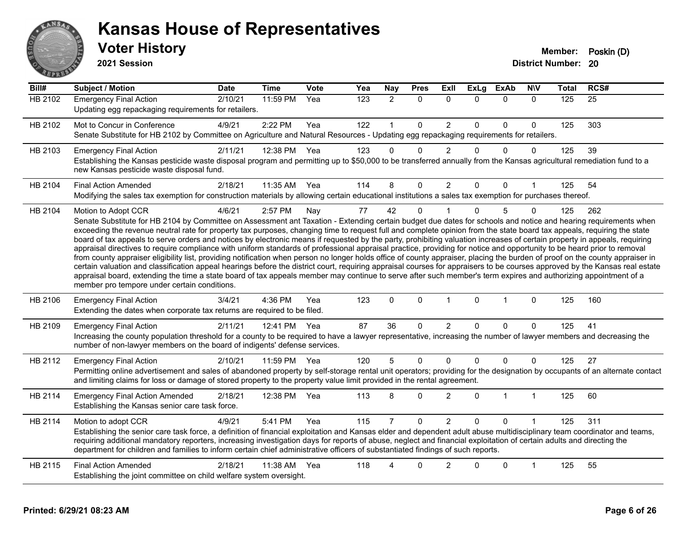

| Bill#          | <b>Subject / Motion</b>                                                                                                                                                                                                                                                                                                                                                                                                                                                                                                                                                                                                                                                                                                                                                                                                                                                                                                                                                                                                                                                                                                                                                                                                                                                                                     | <b>Date</b> | <b>Time</b>  | Vote | Yea | <b>Nay</b>     | <b>Pres</b>  | Exll           | <b>ExLg</b>  | <b>ExAb</b>  | <b>NIV</b>     | <b>Total</b> | RCS# |
|----------------|-------------------------------------------------------------------------------------------------------------------------------------------------------------------------------------------------------------------------------------------------------------------------------------------------------------------------------------------------------------------------------------------------------------------------------------------------------------------------------------------------------------------------------------------------------------------------------------------------------------------------------------------------------------------------------------------------------------------------------------------------------------------------------------------------------------------------------------------------------------------------------------------------------------------------------------------------------------------------------------------------------------------------------------------------------------------------------------------------------------------------------------------------------------------------------------------------------------------------------------------------------------------------------------------------------------|-------------|--------------|------|-----|----------------|--------------|----------------|--------------|--------------|----------------|--------------|------|
| <b>HB 2102</b> | <b>Emergency Final Action</b><br>Updating egg repackaging requirements for retailers.                                                                                                                                                                                                                                                                                                                                                                                                                                                                                                                                                                                                                                                                                                                                                                                                                                                                                                                                                                                                                                                                                                                                                                                                                       | 2/10/21     | 11:59 PM     | Yea  | 123 | $\overline{2}$ | $\mathbf 0$  | $\mathbf 0$    | 0            | $\mathbf 0$  | $\mathbf 0$    | 125          | 25   |
| HB 2102        | Mot to Concur in Conference<br>Senate Substitute for HB 2102 by Committee on Agriculture and Natural Resources - Updating egg repackaging requirements for retailers.                                                                                                                                                                                                                                                                                                                                                                                                                                                                                                                                                                                                                                                                                                                                                                                                                                                                                                                                                                                                                                                                                                                                       | 4/9/21      | 2:22 PM      | Yea  | 122 | $\mathbf{1}$   | $\Omega$     | $\overline{2}$ | $\Omega$     | $\Omega$     | $\mathbf{0}$   | 125          | 303  |
| HB 2103        | <b>Emergency Final Action</b><br>Establishing the Kansas pesticide waste disposal program and permitting up to \$50,000 to be transferred annually from the Kansas agricultural remediation fund to a<br>new Kansas pesticide waste disposal fund.                                                                                                                                                                                                                                                                                                                                                                                                                                                                                                                                                                                                                                                                                                                                                                                                                                                                                                                                                                                                                                                          | 2/11/21     | 12:38 PM     | Yea  | 123 | 0              | $\Omega$     | 2              | 0            | 0            | $\mathbf{0}$   | 125          | 39   |
| HB 2104        | <b>Final Action Amended</b><br>Modifying the sales tax exemption for construction materials by allowing certain educational institutions a sales tax exemption for purchases thereof.                                                                                                                                                                                                                                                                                                                                                                                                                                                                                                                                                                                                                                                                                                                                                                                                                                                                                                                                                                                                                                                                                                                       | 2/18/21     | 11:35 AM     | Yea  | 114 | 8              | $\Omega$     | 2              | $\Omega$     | $\Omega$     | $\overline{1}$ | 125          | 54   |
| HB 2104        | Motion to Adopt CCR<br>Senate Substitute for HB 2104 by Committee on Assessment ant Taxation - Extending certain budget due dates for schools and notice and hearing requirements when<br>exceeding the revenue neutral rate for property tax purposes, changing time to request full and complete opinion from the state board tax appeals, requiring the state<br>board of tax appeals to serve orders and notices by electronic means if requested by the party, prohibiting valuation increases of certain property in appeals, requiring<br>appraisal directives to require compliance with uniform standards of professional appraisal practice, providing for notice and opportunity to be heard prior to removal<br>from county appraiser eligibility list, providing notification when person no longer holds office of county appraiser, placing the burden of proof on the county appraiser in<br>certain valuation and classification appeal hearings before the district court, requiring appraisal courses for appraisers to be courses approved by the Kansas real estate<br>appraisal board, extending the time a state board of tax appeals member may continue to serve after such member's term expires and authorizing appointment of a<br>member pro tempore under certain conditions. | 4/6/21      | 2:57 PM      | Nay  | 77  | 42             | $\Omega$     |                | $\Omega$     | 5            | $\mathbf{0}$   | 125          | 262  |
| HB 2106        | <b>Emergency Final Action</b><br>Extending the dates when corporate tax returns are required to be filed.                                                                                                                                                                                                                                                                                                                                                                                                                                                                                                                                                                                                                                                                                                                                                                                                                                                                                                                                                                                                                                                                                                                                                                                                   | 3/4/21      | 4:36 PM      | Yea  | 123 | 0              | $\mathbf{0}$ | $\overline{1}$ | $\Omega$     | $\mathbf 1$  | 0              | 125          | 160  |
| HB 2109        | <b>Emergency Final Action</b><br>Increasing the county population threshold for a county to be required to have a lawyer representative, increasing the number of lawyer members and decreasing the<br>number of non-lawyer members on the board of indigents' defense services.                                                                                                                                                                                                                                                                                                                                                                                                                                                                                                                                                                                                                                                                                                                                                                                                                                                                                                                                                                                                                            | 2/11/21     | 12:41 PM     | Yea  | 87  | 36             | $\mathbf 0$  | $\overline{2}$ | $\mathbf{0}$ | $\mathbf 0$  | $\mathbf 0$    | 125          | 41   |
| HB 2112        | <b>Emergency Final Action</b><br>Permitting online advertisement and sales of abandoned property by self-storage rental unit operators; providing for the designation by occupants of an alternate contact<br>and limiting claims for loss or damage of stored property to the property value limit provided in the rental agreement.                                                                                                                                                                                                                                                                                                                                                                                                                                                                                                                                                                                                                                                                                                                                                                                                                                                                                                                                                                       | 2/10/21     | 11:59 PM Yea |      | 120 | 5              | $\Omega$     | $\Omega$       | $\Omega$     | $\Omega$     | $\Omega$       | 125          | 27   |
| HB 2114        | <b>Emergency Final Action Amended</b><br>Establishing the Kansas senior care task force.                                                                                                                                                                                                                                                                                                                                                                                                                                                                                                                                                                                                                                                                                                                                                                                                                                                                                                                                                                                                                                                                                                                                                                                                                    | 2/18/21     | 12:38 PM     | Yea  | 113 | 8              | 0            | $\overline{2}$ | 0            | $\mathbf{1}$ | $\mathbf{1}$   | 125          | 60   |
| HB 2114        | Motion to adopt CCR<br>Establishing the senior care task force, a definition of financial exploitation and Kansas elder and dependent adult abuse multidisciplinary team coordinator and teams,<br>requiring additional mandatory reporters, increasing investigation days for reports of abuse, neglect and financial exploitation of certain adults and directing the<br>department for children and families to inform certain chief administrative officers of substantiated findings of such reports.                                                                                                                                                                                                                                                                                                                                                                                                                                                                                                                                                                                                                                                                                                                                                                                                  | 4/9/21      | 5:41 PM      | Yea  | 115 | 7              | $\Omega$     | $\overline{2}$ | $\Omega$     | 0            |                | 125          | 311  |
| HB 2115        | <b>Final Action Amended</b><br>Establishing the joint committee on child welfare system oversight.                                                                                                                                                                                                                                                                                                                                                                                                                                                                                                                                                                                                                                                                                                                                                                                                                                                                                                                                                                                                                                                                                                                                                                                                          | 2/18/21     | 11:38 AM     | Yea  | 118 | 4              | $\Omega$     | 2              | 0            | $\Omega$     | $\mathbf 1$    | 125          | 55   |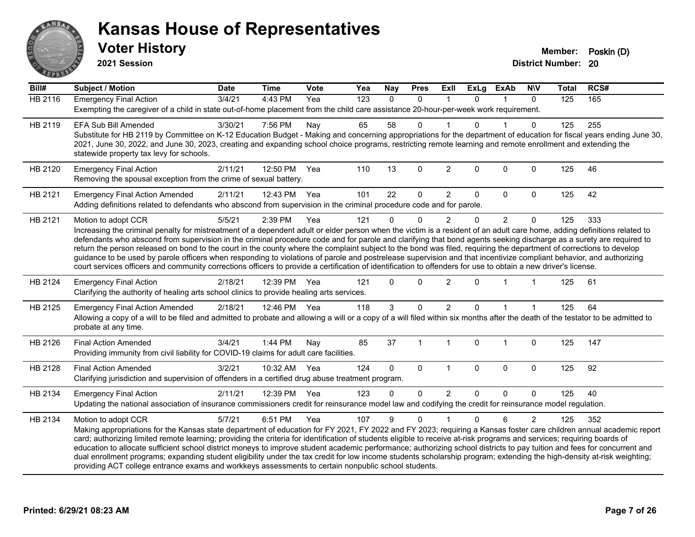

**2021 Session**

**Bill# Subject / Motion Date Time Vote Yea Nay Pres Exll ExLg ExAb N\V Total RCS#** HB 2116 Emergency Final Action 3/4/21 4:43 PM Yea 123 0 0 1 0 1 0 125 165 Exempting the caregiver of a child in state out-of-home placement from the child care assistance 20-hour-per-week work requirement. HB 2119 EFA Sub Bill Amended 3/30/21 7:56 PM Nay 65 58 0 1 0 1 0 125 255 Substitute for HB 2119 by Committee on K-12 Education Budget - Making and concerning appropriations for the department of education for fiscal years ending June 30, 2021, June 30, 2022, and June 30, 2023, creating and expanding school choice programs, restricting remote learning and remote enrollment and extending the statewide property tax levy for schools. HB 2120 Emergency Final Action 2/11/21 12:50 PM Yea 110 13 0 2 0 0 0 125 46 Removing the spousal exception from the crime of sexual battery. HB 2121 Emergency Final Action Amended 2/11/21 12:43 PM Yea 101 22 0 2 0 0 0 125 42 Adding definitions related to defendants who abscond from supervision in the criminal procedure code and for parole. HB 2121 Motion to adopt CCR 6 5/5/21 2:39 PM Yea 121 0 0 2 0 2 0 125 333 Increasing the criminal penalty for mistreatment of a dependent adult or elder person when the victim is a resident of an adult care home, adding definitions related to defendants who abscond from supervision in the criminal procedure code and for parole and clarifying that bond agents seeking discharge as a surety are required to return the person released on bond to the court in the county where the complaint subject to the bond was filed, requiring the department of corrections to develop guidance to be used by parole officers when responding to violations of parole and postrelease supervision and that incentivize compliant behavior, and authorizing court services officers and community corrections officers to provide a certification of identification to offenders for use to obtain a new driver's license. HB 2124 Emergency Final Action (a) 2/18/21 12:39 PM Yea 121 0 0 2 0 1 1 125 61 Clarifying the authority of healing arts school clinics to provide healing arts services. HB 2125 Emergency Final Action Amended 2/18/21 12:46 PM Yea 118 3 0 2 0 1 1 1 125 64 Allowing a copy of a will to be filed and admitted to probate and allowing a will or a copy of a will filed within six months after the death of the testator to be admitted to probate at any time. HB 2126 Final Action Amended 3/4/21 1:44 PM Nay 85 37 1 1 0 1 0 125 147 Providing immunity from civil liability for COVID-19 claims for adult care facilities. HB 2128 Final Action Amended 3/2/21 10:32 AM Yea 124 0 0 1 0 0 0 125 92 Clarifying jurisdiction and supervision of offenders in a certified drug abuse treatment program. HB 2134 Emergency Final Action (2/11/21 12:39 PM Yea 123 0 0 2 0 0 0 125 40 Updating the national association of insurance commissioners credit for reinsurance model law and codifying the credit for reinsurance model regulation. HB 2134 Motion to adopt CCR 6/7/21 6:51 PM Yea 107 9 0 1 0 6 2 125 352 Making appropriations for the Kansas state department of education for FY 2021, FY 2022 and FY 2023; requiring a Kansas foster care children annual academic report card; authorizing limited remote learning; providing the criteria for identification of students eligible to receive at-risk programs and services; requiring boards of education to allocate sufficient school district moneys to improve student academic performance; authorizing school districts to pay tuition and fees for concurrent and dual enrollment programs; expanding student eligibility under the tax credit for low income students scholarship program; extending the high-density at-risk weighting; providing ACT college entrance exams and workkeys assessments to certain nonpublic school students.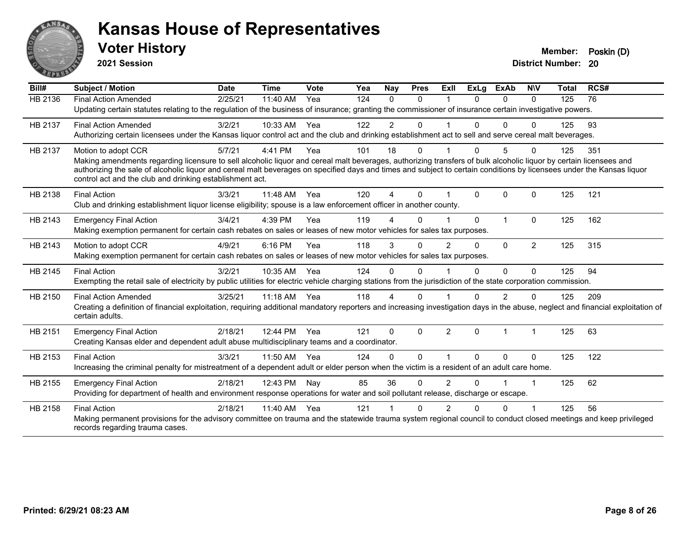

**2021 Session**

| Bill#   | <b>Subject / Motion</b>                                                                                                                                                                                                                                                                                                                                                                                | <b>Date</b> | <b>Time</b> | <b>Vote</b> | Yea | <b>Nav</b>     | <b>Pres</b>  | ExII           | ExLa     | <b>ExAb</b>    | <b>NIV</b>     | Total | RCS# |
|---------|--------------------------------------------------------------------------------------------------------------------------------------------------------------------------------------------------------------------------------------------------------------------------------------------------------------------------------------------------------------------------------------------------------|-------------|-------------|-------------|-----|----------------|--------------|----------------|----------|----------------|----------------|-------|------|
| HB 2136 | <b>Final Action Amended</b>                                                                                                                                                                                                                                                                                                                                                                            | 2/25/21     | 11:40 AM    | Yea         | 124 | $\Omega$       | $\mathbf{0}$ | $\overline{1}$ | 0        | $\Omega$       | $\mathbf{0}$   | 125   | 76   |
|         | Updating certain statutes relating to the regulation of the business of insurance; granting the commissioner of insurance certain investigative powers.                                                                                                                                                                                                                                                |             |             |             |     |                |              |                |          |                |                |       |      |
| HB 2137 | <b>Final Action Amended</b>                                                                                                                                                                                                                                                                                                                                                                            | 3/2/21      | 10:33 AM    | Yea         | 122 | $\overline{2}$ | $\mathbf{0}$ |                | $\Omega$ | $\Omega$       | $\Omega$       | 125   | 93   |
|         | Authorizing certain licensees under the Kansas liquor control act and the club and drinking establishment act to sell and serve cereal malt beverages.                                                                                                                                                                                                                                                 |             |             |             |     |                |              |                |          |                |                |       |      |
| HB 2137 | Motion to adopt CCR                                                                                                                                                                                                                                                                                                                                                                                    | 5/7/21      | 4:41 PM     | Yea         | 101 | 18             | 0            |                | 0        |                | $\Omega$       | 125   | 351  |
|         | Making amendments regarding licensure to sell alcoholic liquor and cereal malt beverages, authorizing transfers of bulk alcoholic liquor by certain licensees and<br>authorizing the sale of alcoholic liquor and cereal malt beverages on specified days and times and subject to certain conditions by licensees under the Kansas liquor<br>control act and the club and drinking establishment act. |             |             |             |     |                |              |                |          |                |                |       |      |
| HB 2138 | <b>Final Action</b>                                                                                                                                                                                                                                                                                                                                                                                    | 3/3/21      | $11:48$ AM  | Yea         | 120 | Δ              | $\Omega$     |                | 0        | 0              | $\mathbf{0}$   | 125   | 121  |
|         | Club and drinking establishment liquor license eligibility; spouse is a law enforcement officer in another county.                                                                                                                                                                                                                                                                                     |             |             |             |     |                |              |                |          |                |                |       |      |
| HB 2143 | <b>Emergency Final Action</b>                                                                                                                                                                                                                                                                                                                                                                          | 3/4/21      | 4:39 PM     | Yea         | 119 | 4              | $\Omega$     |                | $\Omega$ | $\overline{1}$ | $\Omega$       | 125   | 162  |
|         | Making exemption permanent for certain cash rebates on sales or leases of new motor vehicles for sales tax purposes.                                                                                                                                                                                                                                                                                   |             |             |             |     |                |              |                |          |                |                |       |      |
| HB 2143 | Motion to adopt CCR                                                                                                                                                                                                                                                                                                                                                                                    | 4/9/21      | 6:16 PM     | Yea         | 118 | 3              | $\mathbf{0}$ | $\mathfrak{p}$ | $\Omega$ | $\mathbf{0}$   | $\overline{2}$ | 125   | 315  |
|         | Making exemption permanent for certain cash rebates on sales or leases of new motor vehicles for sales tax purposes.                                                                                                                                                                                                                                                                                   |             |             |             |     |                |              |                |          |                |                |       |      |
| HB 2145 | <b>Final Action</b>                                                                                                                                                                                                                                                                                                                                                                                    | 3/2/21      | 10:35 AM    | Yea         | 124 | $\Omega$       | $\Omega$     |                | 0        | $\Omega$       | $\Omega$       | 125   | 94   |
|         | Exempting the retail sale of electricity by public utilities for electric vehicle charging stations from the jurisdiction of the state corporation commission.                                                                                                                                                                                                                                         |             |             |             |     |                |              |                |          |                |                |       |      |
| HB 2150 | <b>Final Action Amended</b>                                                                                                                                                                                                                                                                                                                                                                            | 3/25/21     | $11:18$ AM  | Yea         | 118 | 4              | $\Omega$     |                | 0        | 2              | $\Omega$       | 125   | 209  |
|         | Creating a definition of financial exploitation, requiring additional mandatory reporters and increasing investigation days in the abuse, neglect and financial exploitation of<br>certain adults.                                                                                                                                                                                                     |             |             |             |     |                |              |                |          |                |                |       |      |
| HB 2151 | <b>Emergency Final Action</b>                                                                                                                                                                                                                                                                                                                                                                          | 2/18/21     | 12:44 PM    | Yea         | 121 | $\Omega$       | $\Omega$     | $\mathfrak{p}$ | $\Omega$ |                |                | 125   | 63   |
|         | Creating Kansas elder and dependent adult abuse multidisciplinary teams and a coordinator.                                                                                                                                                                                                                                                                                                             |             |             |             |     |                |              |                |          |                |                |       |      |
| HB 2153 | <b>Final Action</b>                                                                                                                                                                                                                                                                                                                                                                                    | 3/3/21      | 11:50 AM    | Yea         | 124 | $\Omega$       | $\mathbf 0$  |                | 0        | $\Omega$       | $\Omega$       | 125   | 122  |
|         | Increasing the criminal penalty for mistreatment of a dependent adult or elder person when the victim is a resident of an adult care home.                                                                                                                                                                                                                                                             |             |             |             |     |                |              |                |          |                |                |       |      |
| HB 2155 | <b>Emergency Final Action</b>                                                                                                                                                                                                                                                                                                                                                                          | 2/18/21     | 12:43 PM    | Nay         | 85  | 36             | $\Omega$     | 2              | 0        |                | $\overline{1}$ | 125   | 62   |
|         | Providing for department of health and environment response operations for water and soil pollutant release, discharge or escape.                                                                                                                                                                                                                                                                      |             |             |             |     |                |              |                |          |                |                |       |      |
| HB 2158 | <b>Final Action</b>                                                                                                                                                                                                                                                                                                                                                                                    | 2/18/21     | 11:40 AM    | Yea         | 121 |                | $\Omega$     | 2              | U        | $\Omega$       |                | 125   | 56   |
|         | Making permanent provisions for the advisory committee on trauma and the statewide trauma system regional council to conduct closed meetings and keep privileged<br>records regarding trauma cases.                                                                                                                                                                                                    |             |             |             |     |                |              |                |          |                |                |       |      |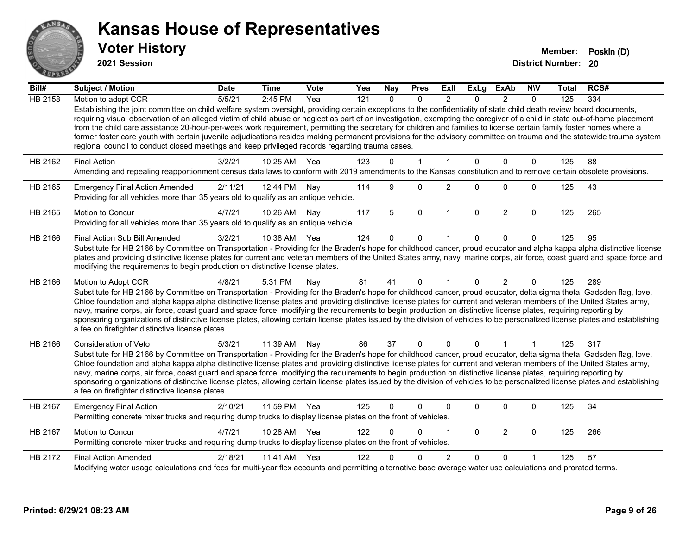

**2021 Session**

| Bill#          | <b>Subject / Motion</b>                                                                                                                                                                                                                                                                                                                                                                                                                                                                                                                                                                                                                                                                                                                                                                               | <b>Date</b> | <b>Time</b>  | Vote | Yea | Nay      | <b>Pres</b>  | ExII           | <b>ExLg</b>  | <b>ExAb</b>    | <b>NIV</b>  | Total | RCS# |
|----------------|-------------------------------------------------------------------------------------------------------------------------------------------------------------------------------------------------------------------------------------------------------------------------------------------------------------------------------------------------------------------------------------------------------------------------------------------------------------------------------------------------------------------------------------------------------------------------------------------------------------------------------------------------------------------------------------------------------------------------------------------------------------------------------------------------------|-------------|--------------|------|-----|----------|--------------|----------------|--------------|----------------|-------------|-------|------|
| <b>HB 2158</b> | Motion to adopt CCR                                                                                                                                                                                                                                                                                                                                                                                                                                                                                                                                                                                                                                                                                                                                                                                   | 5/5/21      | 2:45 PM      | Yea  | 121 | $\Omega$ | $\Omega$     | $\mathfrak{p}$ | $\Omega$     | $\mathfrak{p}$ | $\Omega$    | 125   | 334  |
|                | Establishing the joint committee on child welfare system oversight, providing certain exceptions to the confidentiality of state child death review board documents,<br>requiring visual observation of an alleged victim of child abuse or neglect as part of an investigation, exempting the caregiver of a child in state out-of-home placement<br>from the child care assistance 20-hour-per-week work requirement, permitting the secretary for children and families to license certain family foster homes where a<br>former foster care youth with certain juvenile adjudications resides making permanent provisions for the advisory committee on trauma and the statewide trauma system<br>regional council to conduct closed meetings and keep privileged records regarding trauma cases. |             |              |      |     |          |              |                |              |                |             |       |      |
| HB 2162        | <b>Final Action</b>                                                                                                                                                                                                                                                                                                                                                                                                                                                                                                                                                                                                                                                                                                                                                                                   | 3/2/21      | 10:25 AM     | Yea  | 123 | $\Omega$ | $\mathbf{1}$ | $\mathbf{1}$   | $\mathbf{0}$ | 0              | $\Omega$    | 125   | 88   |
|                | Amending and repealing reapportionment census data laws to conform with 2019 amendments to the Kansas constitution and to remove certain obsolete provisions.                                                                                                                                                                                                                                                                                                                                                                                                                                                                                                                                                                                                                                         |             |              |      |     |          |              |                |              |                |             |       |      |
| HB 2165        | <b>Emergency Final Action Amended</b><br>Providing for all vehicles more than 35 years old to qualify as an antique vehicle.                                                                                                                                                                                                                                                                                                                                                                                                                                                                                                                                                                                                                                                                          | 2/11/21     | 12:44 PM     | Nay  | 114 | 9        | 0            | $\overline{c}$ | 0            | 0              | $\mathbf 0$ | 125   | 43   |
| HB 2165        | Motion to Concur<br>Providing for all vehicles more than 35 years old to qualify as an antique vehicle.                                                                                                                                                                                                                                                                                                                                                                                                                                                                                                                                                                                                                                                                                               | 4/7/21      | 10:26 AM     | Nav  | 117 | 5        | $\mathbf 0$  | $\mathbf 1$    | $\mathbf{0}$ | $\overline{2}$ | $\Omega$    | 125   | 265  |
| HB 2166        | Final Action Sub Bill Amended                                                                                                                                                                                                                                                                                                                                                                                                                                                                                                                                                                                                                                                                                                                                                                         | 3/2/21      | 10:38 AM Yea |      | 124 | 0        | $\mathbf 0$  |                | 0            | $\Omega$       | $\Omega$    | 125   | 95   |
|                | Substitute for HB 2166 by Committee on Transportation - Providing for the Braden's hope for childhood cancer, proud educator and alpha kappa alpha distinctive license<br>plates and providing distinctive license plates for current and veteran members of the United States army, navy, marine corps, air force, coast guard and space force and<br>modifying the requirements to begin production on distinctive license plates.                                                                                                                                                                                                                                                                                                                                                                  |             |              |      |     |          |              |                |              |                |             |       |      |
| HB 2166        | Motion to Adopt CCR                                                                                                                                                                                                                                                                                                                                                                                                                                                                                                                                                                                                                                                                                                                                                                                   | 4/8/21      | 5:31 PM      | Nay  | 81  | 41       | $\Omega$     |                | $\Omega$     | $\overline{2}$ | $\Omega$    | 125   | 289  |
|                | Substitute for HB 2166 by Committee on Transportation - Providing for the Braden's hope for childhood cancer, proud educator, delta sigma theta, Gadsden flag, love,<br>Chloe foundation and alpha kappa alpha distinctive license plates and providing distinctive license plates for current and veteran members of the United States army,<br>navy, marine corps, air force, coast guard and space force, modifying the requirements to begin production on distinctive license plates, requiring reporting by<br>sponsoring organizations of distinctive license plates, allowing certain license plates issued by the division of vehicles to be personalized license plates and establishing<br>a fee on firefighter distinctive license plates.                                                |             |              |      |     |          |              |                |              |                |             |       |      |
| HB 2166        | <b>Consideration of Veto</b>                                                                                                                                                                                                                                                                                                                                                                                                                                                                                                                                                                                                                                                                                                                                                                          | 5/3/21      | 11:39 AM     | Nav  | 86  | 37       | $\mathbf{0}$ | $\Omega$       | 0            | 1              | 1           | 125   | 317  |
|                | Substitute for HB 2166 by Committee on Transportation - Providing for the Braden's hope for childhood cancer, proud educator, delta sigma theta, Gadsden flag, love,<br>Chloe foundation and alpha kappa alpha distinctive license plates and providing distinctive license plates for current and veteran members of the United States army,<br>navy, marine corps, air force, coast guard and space force, modifying the requirements to begin production on distinctive license plates, requiring reporting by<br>sponsoring organizations of distinctive license plates, allowing certain license plates issued by the division of vehicles to be personalized license plates and establishing<br>a fee on firefighter distinctive license plates.                                                |             |              |      |     |          |              |                |              |                |             |       |      |
| HB 2167        | <b>Emergency Final Action</b><br>Permitting concrete mixer trucks and requiring dump trucks to display license plates on the front of vehicles.                                                                                                                                                                                                                                                                                                                                                                                                                                                                                                                                                                                                                                                       | 2/10/21     | 11:59 PM Yea |      | 125 | 0        | $\Omega$     | $\Omega$       | 0            | 0              | $\mathbf 0$ | 125   | 34   |
| HB 2167        | Motion to Concur<br>Permitting concrete mixer trucks and requiring dump trucks to display license plates on the front of vehicles.                                                                                                                                                                                                                                                                                                                                                                                                                                                                                                                                                                                                                                                                    | 4/7/21      | 10:28 AM     | Yea  | 122 | 0        | 0            |                | $\Omega$     | $\overline{2}$ | $\mathbf 0$ | 125   | 266  |
| HB 2172        | <b>Final Action Amended</b>                                                                                                                                                                                                                                                                                                                                                                                                                                                                                                                                                                                                                                                                                                                                                                           | 2/18/21     | 11:41 AM Yea |      | 122 |          | $\Omega$     | 2              | $\Omega$     | $\Omega$       |             | 125   | 57   |
|                | Modifying water usage calculations and fees for multi-year flex accounts and permitting alternative base average water use calculations and prorated terms.                                                                                                                                                                                                                                                                                                                                                                                                                                                                                                                                                                                                                                           |             |              |      |     |          |              |                |              |                |             |       |      |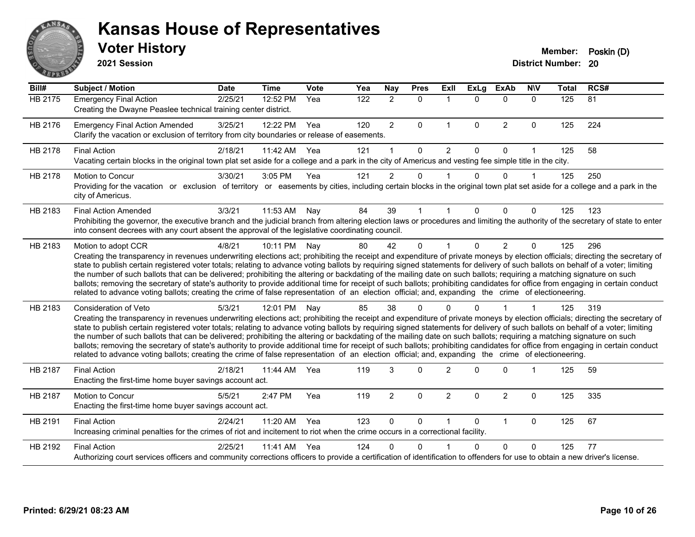

**2021 Session**

| Bill#   | <b>Subject / Motion</b>                                                                                                                                                                                                                                                                                                                                                                                                                                                                                                                                                                                                                                                                                                                                                                                                                                                                                           | <b>Date</b> | <b>Time</b> | <b>Vote</b> | Yea | Nay            | <b>Pres</b>  | <b>Exll</b>    | $\overline{Ex}$ Lg | <b>ExAb</b>    | <b>NIV</b>  | <b>Total</b> | RCS# |
|---------|-------------------------------------------------------------------------------------------------------------------------------------------------------------------------------------------------------------------------------------------------------------------------------------------------------------------------------------------------------------------------------------------------------------------------------------------------------------------------------------------------------------------------------------------------------------------------------------------------------------------------------------------------------------------------------------------------------------------------------------------------------------------------------------------------------------------------------------------------------------------------------------------------------------------|-------------|-------------|-------------|-----|----------------|--------------|----------------|--------------------|----------------|-------------|--------------|------|
| HB 2175 | <b>Emergency Final Action</b><br>Creating the Dwayne Peaslee technical training center district.                                                                                                                                                                                                                                                                                                                                                                                                                                                                                                                                                                                                                                                                                                                                                                                                                  | 2/25/21     | 12:52 PM    | Yea         | 122 | $\overline{2}$ | $\Omega$     | $\mathbf{1}$   | $\Omega$           | $\mathbf{0}$   | $\Omega$    | 125          | 81   |
| HB 2176 | <b>Emergency Final Action Amended</b><br>Clarify the vacation or exclusion of territory from city boundaries or release of easements.                                                                                                                                                                                                                                                                                                                                                                                                                                                                                                                                                                                                                                                                                                                                                                             | 3/25/21     | 12:22 PM    | Yea         | 120 | $\overline{2}$ | $\mathbf{0}$ | $\mathbf{1}$   | $\Omega$           | $\overline{2}$ | $\mathbf 0$ | 125          | 224  |
| HB 2178 | <b>Final Action</b><br>Vacating certain blocks in the original town plat set aside for a college and a park in the city of Americus and vesting fee simple title in the city.                                                                                                                                                                                                                                                                                                                                                                                                                                                                                                                                                                                                                                                                                                                                     | 2/18/21     | 11:42 AM    | Yea         | 121 |                | $\Omega$     | 2              | $\Omega$           | $\Omega$       | 1           | 125          | 58   |
| HB 2178 | Motion to Concur<br>Providing for the vacation or exclusion of territory or easements by cities, including certain blocks in the original town plat set aside for a college and a park in the<br>city of Americus.                                                                                                                                                                                                                                                                                                                                                                                                                                                                                                                                                                                                                                                                                                | 3/30/21     | 3:05 PM     | Yea         | 121 | $\overline{2}$ | 0            |                | $\Omega$           | $\Omega$       | 1           | 125          | 250  |
| HB 2183 | <b>Final Action Amended</b><br>Prohibiting the governor, the executive branch and the judicial branch from altering election laws or procedures and limiting the authority of the secretary of state to enter<br>into consent decrees with any court absent the approval of the legislative coordinating council.                                                                                                                                                                                                                                                                                                                                                                                                                                                                                                                                                                                                 | 3/3/21      | 11:53 AM    | Nav         | 84  | 39             |              |                | 0                  | $\Omega$       | 0           | 125          | 123  |
| HB 2183 | Motion to adopt CCR<br>Creating the transparency in revenues underwriting elections act; prohibiting the receipt and expenditure of private moneys by election officials; directing the secretary of<br>state to publish certain registered voter totals; relating to advance voting ballots by requiring signed statements for delivery of such ballots on behalf of a voter; limiting<br>the number of such ballots that can be delivered; prohibiting the altering or backdating of the mailing date on such ballots; requiring a matching signature on such<br>ballots; removing the secretary of state's authority to provide additional time for receipt of such ballots; prohibiting candidates for office from engaging in certain conduct<br>related to advance voting ballots; creating the crime of false representation of an election official; and, expanding the crime of electioneering.          | 4/8/21      | 10:11 PM    | Nay         | 80  | 42             | $\Omega$     |                | $\Omega$           | 2              | $\Omega$    | 125          | 296  |
| HB 2183 | <b>Consideration of Veto</b><br>Creating the transparency in revenues underwriting elections act; prohibiting the receipt and expenditure of private moneys by election officials; directing the secretary of<br>state to publish certain registered voter totals; relating to advance voting ballots by requiring signed statements for delivery of such ballots on behalf of a voter; limiting<br>the number of such ballots that can be delivered; prohibiting the altering or backdating of the mailing date on such ballots; requiring a matching signature on such<br>ballots; removing the secretary of state's authority to provide additional time for receipt of such ballots; prohibiting candidates for office from engaging in certain conduct<br>related to advance voting ballots; creating the crime of false representation of an election official; and, expanding the crime of electioneering. | 5/3/21      | 12:01 PM    | Nay         | 85  | 38             | 0            |                |                    |                |             | 125          | 319  |
| HB 2187 | <b>Final Action</b><br>Enacting the first-time home buyer savings account act.                                                                                                                                                                                                                                                                                                                                                                                                                                                                                                                                                                                                                                                                                                                                                                                                                                    | 2/18/21     | 11:44 AM    | Yea         | 119 | 3              | $\Omega$     | $\overline{2}$ | $\Omega$           | $\Omega$       | 1           | 125          | 59   |
| HB 2187 | Motion to Concur<br>Enacting the first-time home buyer savings account act.                                                                                                                                                                                                                                                                                                                                                                                                                                                                                                                                                                                                                                                                                                                                                                                                                                       | 5/5/21      | 2:47 PM     | Yea         | 119 | $\overline{2}$ | $\mathbf 0$  | $\overline{c}$ | $\Omega$           | $\overline{2}$ | 0           | 125          | 335  |
| HB 2191 | <b>Final Action</b><br>Increasing criminal penalties for the crimes of riot and incitement to riot when the crime occurs in a correctional facility.                                                                                                                                                                                                                                                                                                                                                                                                                                                                                                                                                                                                                                                                                                                                                              | 2/24/21     | 11:20 AM    | Yea         | 123 | $\mathbf{0}$   | $\Omega$     | 1              | $\Omega$           | $\mathbf{1}$   | $\mathbf 0$ | 125          | 67   |
| HB 2192 | <b>Final Action</b><br>Authorizing court services officers and community corrections officers to provide a certification of identification to offenders for use to obtain a new driver's license.                                                                                                                                                                                                                                                                                                                                                                                                                                                                                                                                                                                                                                                                                                                 | 2/25/21     | 11:41 AM    | Yea         | 124 | 0              | $\Omega$     |                | $\Omega$           | $\Omega$       | $\Omega$    | 125          | 77   |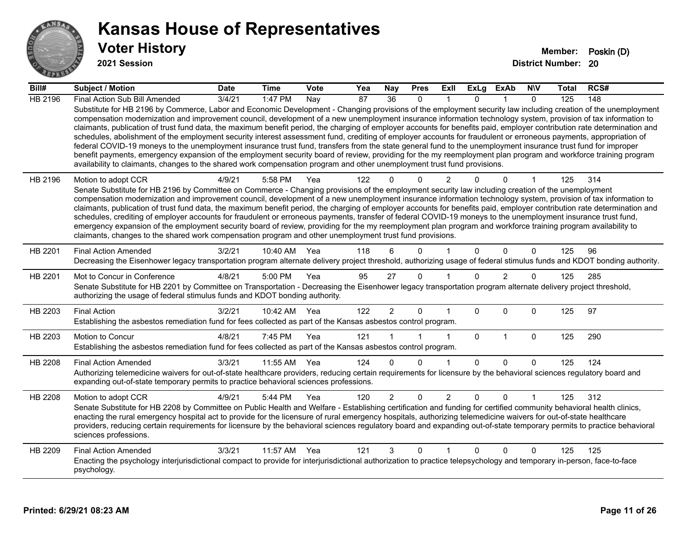

**2021 Session**

| Bill#          | <b>Subject / Motion</b>                                                                                                                                                                                                                                                                                                                                                                                                                                                                                                                                                                                                                                                                                                                                                                                                                                                                                                                                                                                                                                                                                                                           | <b>Date</b> | <b>Time</b>  | <b>Vote</b> | Yea | <b>Nay</b>     | <b>Pres</b> | ExII           | ExLg         | ExAb           | <b>NIV</b>  | Total | RCS# |
|----------------|---------------------------------------------------------------------------------------------------------------------------------------------------------------------------------------------------------------------------------------------------------------------------------------------------------------------------------------------------------------------------------------------------------------------------------------------------------------------------------------------------------------------------------------------------------------------------------------------------------------------------------------------------------------------------------------------------------------------------------------------------------------------------------------------------------------------------------------------------------------------------------------------------------------------------------------------------------------------------------------------------------------------------------------------------------------------------------------------------------------------------------------------------|-------------|--------------|-------------|-----|----------------|-------------|----------------|--------------|----------------|-------------|-------|------|
| <b>HB 2196</b> | Final Action Sub Bill Amended                                                                                                                                                                                                                                                                                                                                                                                                                                                                                                                                                                                                                                                                                                                                                                                                                                                                                                                                                                                                                                                                                                                     | 3/4/21      | 1:47 PM      | Nay         | 87  | 36             | $\Omega$    |                | $\Omega$     |                | $\Omega$    | 125   | 148  |
|                | Substitute for HB 2196 by Commerce, Labor and Economic Development - Changing provisions of the employment security law including creation of the unemployment<br>compensation modernization and improvement council, development of a new unemployment insurance information technology system, provision of tax information to<br>claimants, publication of trust fund data, the maximum benefit period, the charging of employer accounts for benefits paid, employer contribution rate determination and<br>schedules, abolishment of the employment security interest assessment fund, crediting of employer accounts for fraudulent or erroneous payments, appropriation of<br>federal COVID-19 moneys to the unemployment insurance trust fund, transfers from the state general fund to the unemployment insurance trust fund for improper<br>benefit payments, emergency expansion of the employment security board of review, providing for the my reemployment plan program and workforce training program<br>availability to claimants, changes to the shared work compensation program and other unemployment trust fund provisions. |             |              |             |     |                |             |                |              |                |             |       |      |
| HB 2196        | Motion to adopt CCR<br>Senate Substitute for HB 2196 by Committee on Commerce - Changing provisions of the employment security law including creation of the unemployment                                                                                                                                                                                                                                                                                                                                                                                                                                                                                                                                                                                                                                                                                                                                                                                                                                                                                                                                                                         | 4/9/21      | 5:58 PM      | Yea         | 122 | $\Omega$       | $\Omega$    | 2              |              | $\Omega$       |             | 125   | 314  |
|                | compensation modernization and improvement council, development of a new unemployment insurance information technology system, provision of tax information to                                                                                                                                                                                                                                                                                                                                                                                                                                                                                                                                                                                                                                                                                                                                                                                                                                                                                                                                                                                    |             |              |             |     |                |             |                |              |                |             |       |      |
|                | claimants, publication of trust fund data, the maximum benefit period, the charging of employer accounts for benefits paid, employer contribution rate determination and                                                                                                                                                                                                                                                                                                                                                                                                                                                                                                                                                                                                                                                                                                                                                                                                                                                                                                                                                                          |             |              |             |     |                |             |                |              |                |             |       |      |
|                | schedules, crediting of employer accounts for fraudulent or erroneous payments, transfer of federal COVID-19 moneys to the unemployment insurance trust fund,<br>emergency expansion of the employment security board of review, providing for the my reemployment plan program and workforce training program availability to                                                                                                                                                                                                                                                                                                                                                                                                                                                                                                                                                                                                                                                                                                                                                                                                                    |             |              |             |     |                |             |                |              |                |             |       |      |
|                | claimants, changes to the shared work compensation program and other unemployment trust fund provisions.                                                                                                                                                                                                                                                                                                                                                                                                                                                                                                                                                                                                                                                                                                                                                                                                                                                                                                                                                                                                                                          |             |              |             |     |                |             |                |              |                |             |       |      |
| HB 2201        | <b>Final Action Amended</b>                                                                                                                                                                                                                                                                                                                                                                                                                                                                                                                                                                                                                                                                                                                                                                                                                                                                                                                                                                                                                                                                                                                       | 3/2/21      | 10:40 AM     | Yea         | 118 | 6              | $\Omega$    |                | $\Omega$     | $\Omega$       | $\Omega$    | 125   | 96   |
|                | Decreasing the Eisenhower legacy transportation program alternate delivery project threshold, authorizing usage of federal stimulus funds and KDOT bonding authority.                                                                                                                                                                                                                                                                                                                                                                                                                                                                                                                                                                                                                                                                                                                                                                                                                                                                                                                                                                             |             |              |             |     |                |             |                |              |                |             |       |      |
| HB 2201        | Mot to Concur in Conference                                                                                                                                                                                                                                                                                                                                                                                                                                                                                                                                                                                                                                                                                                                                                                                                                                                                                                                                                                                                                                                                                                                       | 4/8/21      | 5:00 PM      | Yea         | 95  | 27             | $\Omega$    |                | $\Omega$     | $\overline{2}$ | $\Omega$    | 125   | 285  |
|                | Senate Substitute for HB 2201 by Committee on Transportation - Decreasing the Eisenhower legacy transportation program alternate delivery project threshold,<br>authorizing the usage of federal stimulus funds and KDOT bonding authority.                                                                                                                                                                                                                                                                                                                                                                                                                                                                                                                                                                                                                                                                                                                                                                                                                                                                                                       |             |              |             |     |                |             |                |              |                |             |       |      |
| HB 2203        | <b>Final Action</b>                                                                                                                                                                                                                                                                                                                                                                                                                                                                                                                                                                                                                                                                                                                                                                                                                                                                                                                                                                                                                                                                                                                               | 3/2/21      | 10:42 AM Yea |             | 122 | $\overline{2}$ | 0           |                | $\Omega$     | $\Omega$       | 0           | 125   | 97   |
|                | Establishing the asbestos remediation fund for fees collected as part of the Kansas asbestos control program.                                                                                                                                                                                                                                                                                                                                                                                                                                                                                                                                                                                                                                                                                                                                                                                                                                                                                                                                                                                                                                     |             |              |             |     |                |             |                |              |                |             |       |      |
| HB 2203        | Motion to Concur                                                                                                                                                                                                                                                                                                                                                                                                                                                                                                                                                                                                                                                                                                                                                                                                                                                                                                                                                                                                                                                                                                                                  | 4/8/21      | 7:45 PM      | Yea         | 121 |                |             | 1              | $\mathbf{0}$ | $\mathbf{1}$   | $\mathbf 0$ | 125   | 290  |
|                | Establishing the asbestos remediation fund for fees collected as part of the Kansas asbestos control program.                                                                                                                                                                                                                                                                                                                                                                                                                                                                                                                                                                                                                                                                                                                                                                                                                                                                                                                                                                                                                                     |             |              |             |     |                |             |                |              |                |             |       |      |
| HB 2208        | <b>Final Action Amended</b>                                                                                                                                                                                                                                                                                                                                                                                                                                                                                                                                                                                                                                                                                                                                                                                                                                                                                                                                                                                                                                                                                                                       | 3/3/21      | 11:55 AM     | Yea         | 124 | 0              | $\Omega$    | 1              | $\Omega$     | $\Omega$       | $\Omega$    | 125   | 124  |
|                | Authorizing telemedicine waivers for out-of-state healthcare providers, reducing certain requirements for licensure by the behavioral sciences regulatory board and<br>expanding out-of-state temporary permits to practice behavioral sciences professions.                                                                                                                                                                                                                                                                                                                                                                                                                                                                                                                                                                                                                                                                                                                                                                                                                                                                                      |             |              |             |     |                |             |                |              |                |             |       |      |
| HB 2208        | Motion to adopt CCR                                                                                                                                                                                                                                                                                                                                                                                                                                                                                                                                                                                                                                                                                                                                                                                                                                                                                                                                                                                                                                                                                                                               | 4/9/21      | 5:44 PM      | Yea         | 120 | $\overline{2}$ | $\Omega$    | $\overline{2}$ | $\mathbf{0}$ | $\Omega$       |             | 125   | 312  |
|                | Senate Substitute for HB 2208 by Committee on Public Health and Welfare - Establishing certification and funding for certified community behavioral health clinics,<br>enacting the rural emergency hospital act to provide for the licensure of rural emergency hospitals, authorizing telemedicine waivers for out-of-state healthcare                                                                                                                                                                                                                                                                                                                                                                                                                                                                                                                                                                                                                                                                                                                                                                                                          |             |              |             |     |                |             |                |              |                |             |       |      |
|                | providers, reducing certain requirements for licensure by the behavioral sciences regulatory board and expanding out-of-state temporary permits to practice behavioral<br>sciences professions.                                                                                                                                                                                                                                                                                                                                                                                                                                                                                                                                                                                                                                                                                                                                                                                                                                                                                                                                                   |             |              |             |     |                |             |                |              |                |             |       |      |
| HB 2209        | <b>Final Action Amended</b>                                                                                                                                                                                                                                                                                                                                                                                                                                                                                                                                                                                                                                                                                                                                                                                                                                                                                                                                                                                                                                                                                                                       | 3/3/21      | 11:57 AM     | Yea         | 121 | 3              | $\Omega$    | 1              | $\Omega$     | $\Omega$       | $\Omega$    | 125   | 125  |
|                | Enacting the psychology interjurisdictional compact to provide for interjurisdictional authorization to practice telepsychology and temporary in-person, face-to-face<br>psychology.                                                                                                                                                                                                                                                                                                                                                                                                                                                                                                                                                                                                                                                                                                                                                                                                                                                                                                                                                              |             |              |             |     |                |             |                |              |                |             |       |      |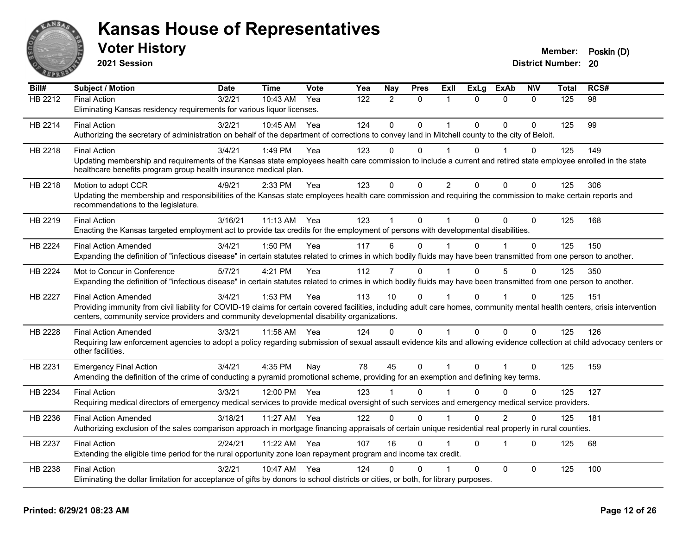

| Bill#          | <b>Subject / Motion</b>                                                                                                                                                                                                             | <b>Date</b> | <b>Time</b> | Vote | Yea | Nay            | <b>Pres</b>  | ExIl                 | <b>ExLg</b>  | <b>ExAb</b>  | <b>NIV</b>   | Total | RCS# |
|----------------|-------------------------------------------------------------------------------------------------------------------------------------------------------------------------------------------------------------------------------------|-------------|-------------|------|-----|----------------|--------------|----------------------|--------------|--------------|--------------|-------|------|
| HB 2212        | <b>Final Action</b>                                                                                                                                                                                                                 | 3/2/21      | 10:43 AM    | Yea  | 122 | $\overline{2}$ | $\mathbf 0$  | -1                   | $\Omega$     | $\mathbf{0}$ | $\mathbf{0}$ | 125   | 98   |
|                | Eliminating Kansas residency requirements for various liquor licenses.                                                                                                                                                              |             |             |      |     |                |              |                      |              |              |              |       |      |
| HB 2214        | <b>Final Action</b>                                                                                                                                                                                                                 | 3/2/21      | 10:45 AM    | Yea  | 124 | $\mathbf 0$    | $\mathbf 0$  | $\mathbf{1}$         | $\mathbf 0$  | $\mathbf 0$  | $\Omega$     | 125   | 99   |
|                | Authorizing the secretary of administration on behalf of the department of corrections to convey land in Mitchell county to the city of Beloit.                                                                                     |             |             |      |     |                |              |                      |              |              |              |       |      |
| HB 2218        | <b>Final Action</b>                                                                                                                                                                                                                 | 3/4/21      | 1:49 PM     | Yea  | 123 | 0              | 0            |                      | 0            |              | 0            | 125   | 149  |
|                | Updating membership and requirements of the Kansas state employees health care commission to include a current and retired state employee enrolled in the state<br>healthcare benefits program group health insurance medical plan. |             |             |      |     |                |              |                      |              |              |              |       |      |
|                |                                                                                                                                                                                                                                     |             |             |      |     |                |              |                      |              |              |              |       |      |
| HB 2218        | Motion to adopt CCR<br>Updating the membership and responsibilities of the Kansas state employees health care commission and requiring the commission to make certain reports and                                                   | 4/9/21      | 2:33 PM     | Yea  | 123 | 0              | $\mathbf{0}$ | $\overline{2}$       | $\mathbf 0$  | $\Omega$     | $\Omega$     | 125   | 306  |
|                | recommendations to the legislature.                                                                                                                                                                                                 |             |             |      |     |                |              |                      |              |              |              |       |      |
| HB 2219        | <b>Final Action</b>                                                                                                                                                                                                                 | 3/16/21     | $11:13$ AM  | Yea  | 123 | 1              | $\mathbf{0}$ |                      | $\Omega$     | $\Omega$     | $\mathbf{0}$ | 125   | 168  |
|                | Enacting the Kansas targeted employment act to provide tax credits for the employment of persons with developmental disabilities.                                                                                                   |             |             |      |     |                |              |                      |              |              |              |       |      |
| HB 2224        | <b>Final Action Amended</b>                                                                                                                                                                                                         | 3/4/21      | 1:50 PM     | Yea  | 117 | 6              | $\Omega$     | $\blacktriangleleft$ | $\Omega$     | $\mathbf{1}$ | $\Omega$     | 125   | 150  |
|                | Expanding the definition of "infectious disease" in certain statutes related to crimes in which bodily fluids may have been transmitted from one person to another.                                                                 |             |             |      |     |                |              |                      |              |              |              |       |      |
| HB 2224        | Mot to Concur in Conference                                                                                                                                                                                                         | 5/7/21      | 4:21 PM     | Yea  | 112 | 7              | $\Omega$     |                      | $\Omega$     | 5            | 0            | 125   | 350  |
|                | Expanding the definition of "infectious disease" in certain statutes related to crimes in which bodily fluids may have been transmitted from one person to another.                                                                 |             |             |      |     |                |              |                      |              |              |              |       |      |
| <b>HB 2227</b> | <b>Final Action Amended</b>                                                                                                                                                                                                         | 3/4/21      | 1:53 PM     | Yea  | 113 | 10             | $\mathbf 0$  |                      | $\Omega$     |              | $\Omega$     | 125   | 151  |
|                | Providing immunity from civil liability for COVID-19 claims for certain covered facilities, including adult care homes, community mental health centers, crisis intervention                                                        |             |             |      |     |                |              |                      |              |              |              |       |      |
|                | centers, community service providers and community developmental disability organizations.                                                                                                                                          |             |             |      |     |                |              |                      |              |              |              |       |      |
| HB 2228        | <b>Final Action Amended</b><br>Requiring law enforcement agencies to adopt a policy regarding submission of sexual assault evidence kits and allowing evidence collection at child advocacy centers or                              | 3/3/21      | 11:58 AM    | Yea  | 124 | 0              | $\mathbf{0}$ | $\overline{1}$       | $\mathbf{0}$ | $\Omega$     | $\Omega$     | 125   | 126  |
|                | other facilities.                                                                                                                                                                                                                   |             |             |      |     |                |              |                      |              |              |              |       |      |
| HB 2231        | <b>Emergency Final Action</b>                                                                                                                                                                                                       | 3/4/21      | 4:35 PM     | Nay  | 78  | 45             | $\Omega$     | $\mathbf{1}$         | $\Omega$     |              | $\mathbf 0$  | 125   | 159  |
|                | Amending the definition of the crime of conducting a pyramid promotional scheme, providing for an exemption and defining key terms.                                                                                                 |             |             |      |     |                |              |                      |              |              |              |       |      |
| HB 2234        | <b>Final Action</b>                                                                                                                                                                                                                 | 3/3/21      | 12:00 PM    | Yea  | 123 |                | $\Omega$     |                      | $\Omega$     | $\Omega$     | 0            | 125   | 127  |
|                | Requiring medical directors of emergency medical services to provide medical oversight of such services and emergency medical service providers.                                                                                    |             |             |      |     |                |              |                      |              |              |              |       |      |
| HB 2236        | <b>Final Action Amended</b>                                                                                                                                                                                                         | 3/18/21     | 11:27 AM    | Yea  | 122 | $\Omega$       | $\mathbf{0}$ |                      | $\Omega$     | 2            | $\Omega$     | 125   | 181  |
|                | Authorizing exclusion of the sales comparison approach in mortgage financing appraisals of certain unique residential real property in rural counties.                                                                              |             |             |      |     |                |              |                      |              |              |              |       |      |
| HB 2237        | <b>Final Action</b>                                                                                                                                                                                                                 | 2/24/21     | $11:22$ AM  | Yea  | 107 | 16             | $\Omega$     |                      | $\Omega$     | 1            | $\Omega$     | 125   | 68   |
|                | Extending the eligible time period for the rural opportunity zone loan repayment program and income tax credit.                                                                                                                     |             |             |      |     |                |              |                      |              |              |              |       |      |
| HB 2238        | <b>Final Action</b>                                                                                                                                                                                                                 | 3/2/21      | 10:47 AM    | Yea  | 124 | 0              | $\Omega$     |                      | 0            | $\mathbf 0$  | 0            | 125   | 100  |
|                | Eliminating the dollar limitation for acceptance of gifts by donors to school districts or cities, or both, for library purposes.                                                                                                   |             |             |      |     |                |              |                      |              |              |              |       |      |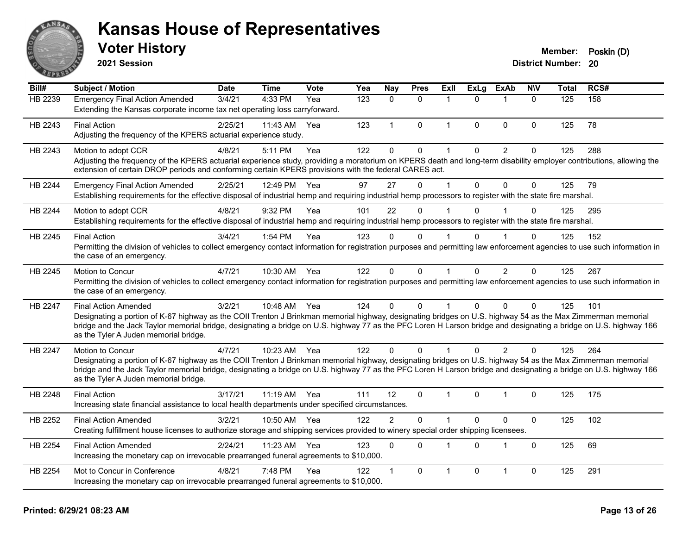

**2021 Session**

| Bill#          | <b>Subject / Motion</b>                                                                                                                                                                                                                                                                                                          | <b>Date</b> | <b>Time</b> | <b>Vote</b> | Yea              | <b>Nay</b>     | <b>Pres</b>  | Exll         | ExLg     | <b>ExAb</b>             | <b>N\V</b>   | <b>Total</b>     | RCS# |
|----------------|----------------------------------------------------------------------------------------------------------------------------------------------------------------------------------------------------------------------------------------------------------------------------------------------------------------------------------|-------------|-------------|-------------|------------------|----------------|--------------|--------------|----------|-------------------------|--------------|------------------|------|
| <b>HB 2239</b> | <b>Emergency Final Action Amended</b>                                                                                                                                                                                                                                                                                            | 3/4/21      | 4:33 PM     | Yea         | $\overline{123}$ | 0              | $\mathbf 0$  | 1            | $\Omega$ | $\overline{1}$          | $\mathbf{0}$ | $\overline{125}$ | 158  |
|                | Extending the Kansas corporate income tax net operating loss carryforward.                                                                                                                                                                                                                                                       |             |             |             |                  |                |              |              |          |                         |              |                  |      |
| HB 2243        | <b>Final Action</b>                                                                                                                                                                                                                                                                                                              | 2/25/21     | 11:43 AM    | Yea         | 123              | $\mathbf{1}$   | $\mathbf 0$  | $\mathbf{1}$ | $\Omega$ | $\mathbf 0$             | $\mathbf 0$  | 125              | 78   |
|                | Adjusting the frequency of the KPERS actuarial experience study.                                                                                                                                                                                                                                                                 |             |             |             |                  |                |              |              |          |                         |              |                  |      |
| HB 2243        | Motion to adopt CCR                                                                                                                                                                                                                                                                                                              | 4/8/21      | 5:11 PM     | Yea         | 122              | $\mathbf{0}$   | $\mathbf{0}$ |              | $\Omega$ | 2                       | $\Omega$     | 125              | 288  |
|                | Adjusting the frequency of the KPERS actuarial experience study, providing a moratorium on KPERS death and long-term disability employer contributions, allowing the<br>extension of certain DROP periods and conforming certain KPERS provisions with the federal CARES act.                                                    |             |             |             |                  |                |              |              |          |                         |              |                  |      |
| HB 2244        | <b>Emergency Final Action Amended</b>                                                                                                                                                                                                                                                                                            | 2/25/21     | 12:49 PM    | Yea         | 97               | 27             | $\Omega$     |              | $\Omega$ | $\Omega$                | $\Omega$     | 125              | 79   |
|                | Establishing requirements for the effective disposal of industrial hemp and requiring industrial hemp processors to register with the state fire marshal.                                                                                                                                                                        |             |             |             |                  |                |              |              |          |                         |              |                  |      |
| HB 2244        | Motion to adopt CCR                                                                                                                                                                                                                                                                                                              | 4/8/21      | 9:32 PM     | Yea         | 101              | 22             | $\mathbf{0}$ |              | $\Omega$ |                         | $\Omega$     | 125              | 295  |
|                | Establishing requirements for the effective disposal of industrial hemp and requiring industrial hemp processors to register with the state fire marshal.                                                                                                                                                                        |             |             |             |                  |                |              |              |          |                         |              |                  |      |
| HB 2245        | <b>Final Action</b>                                                                                                                                                                                                                                                                                                              | 3/4/21      | 1:54 PM     | Yea         | 123              | $\Omega$       | $\Omega$     |              | $\Omega$ | $\overline{\mathbf{1}}$ | $\Omega$     | 125              | 152  |
|                | Permitting the division of vehicles to collect emergency contact information for registration purposes and permitting law enforcement agencies to use such information in<br>the case of an emergency.                                                                                                                           |             |             |             |                  |                |              |              |          |                         |              |                  |      |
| HB 2245        | Motion to Concur                                                                                                                                                                                                                                                                                                                 | 4/7/21      | 10:30 AM    | Yea         | 122              | $\Omega$       | $\mathbf{0}$ |              | $\Omega$ | $\overline{2}$          | $\Omega$     | 125              | 267  |
|                | Permitting the division of vehicles to collect emergency contact information for registration purposes and permitting law enforcement agencies to use such information in<br>the case of an emergency.                                                                                                                           |             |             |             |                  |                |              |              |          |                         |              |                  |      |
| HB 2247        | <b>Final Action Amended</b>                                                                                                                                                                                                                                                                                                      | 3/2/21      | 10:48 AM    | Yea         | 124              | $\mathbf{0}$   | $\Omega$     |              | $\Omega$ | $\Omega$                | $\Omega$     | 125              | 101  |
|                | Designating a portion of K-67 highway as the COII Trenton J Brinkman memorial highway, designating bridges on U.S. highway 54 as the Max Zimmerman memorial                                                                                                                                                                      |             |             |             |                  |                |              |              |          |                         |              |                  |      |
|                | bridge and the Jack Taylor memorial bridge, designating a bridge on U.S. highway 77 as the PFC Loren H Larson bridge and designating a bridge on U.S. highway 166<br>as the Tyler A Juden memorial bridge.                                                                                                                       |             |             |             |                  |                |              |              |          |                         |              |                  |      |
| HB 2247        | Motion to Concur                                                                                                                                                                                                                                                                                                                 | 4/7/21      | 10:23 AM    | Yea         | 122              | $\mathbf{0}$   | $\mathbf{0}$ |              | $\Omega$ | 2                       | $\Omega$     | 125              | 264  |
|                | Designating a portion of K-67 highway as the COII Trenton J Brinkman memorial highway, designating bridges on U.S. highway 54 as the Max Zimmerman memorial<br>bridge and the Jack Taylor memorial bridge, designating a bridge on U.S. highway 77 as the PFC Loren H Larson bridge and designating a bridge on U.S. highway 166 |             |             |             |                  |                |              |              |          |                         |              |                  |      |
|                | as the Tyler A Juden memorial bridge.                                                                                                                                                                                                                                                                                            |             |             |             |                  |                |              |              |          |                         |              |                  |      |
| HB 2248        | <b>Final Action</b>                                                                                                                                                                                                                                                                                                              | 3/17/21     | 11:19 AM    | Yea         | 111              | 12             | $\mathbf 0$  | $\mathbf{1}$ | 0        | $\overline{1}$          | $\mathbf 0$  | 125              | 175  |
|                | Increasing state financial assistance to local health departments under specified circumstances.                                                                                                                                                                                                                                 |             |             |             |                  |                |              |              |          |                         |              |                  |      |
| HB 2252        | <b>Final Action Amended</b>                                                                                                                                                                                                                                                                                                      | 3/2/21      | 10:50 AM    | Yea         | 122              | $\overline{2}$ | $\Omega$     |              | $\Omega$ | $\Omega$                | $\mathbf{0}$ | 125              | 102  |
|                | Creating fulfillment house licenses to authorize storage and shipping services provided to winery special order shipping licensees.                                                                                                                                                                                              |             |             |             |                  |                |              |              |          |                         |              |                  |      |
| HB 2254        | <b>Final Action Amended</b>                                                                                                                                                                                                                                                                                                      | 2/24/21     | 11:23 AM    | Yea         | 123              | $\mathbf 0$    | $\Omega$     |              | $\Omega$ | 1                       | $\mathbf 0$  | 125              | 69   |
|                | Increasing the monetary cap on irrevocable prearranged funeral agreements to \$10,000.                                                                                                                                                                                                                                           |             |             |             |                  |                |              |              |          |                         |              |                  |      |
| HB 2254        | Mot to Concur in Conference                                                                                                                                                                                                                                                                                                      | 4/8/21      | 7:48 PM     | Yea         | 122              | $\mathbf{1}$   | $\mathbf{0}$ | 1            | 0        | 1                       | $\mathbf 0$  | 125              | 291  |
|                | Increasing the monetary cap on irrevocable prearranged funeral agreements to \$10,000.                                                                                                                                                                                                                                           |             |             |             |                  |                |              |              |          |                         |              |                  |      |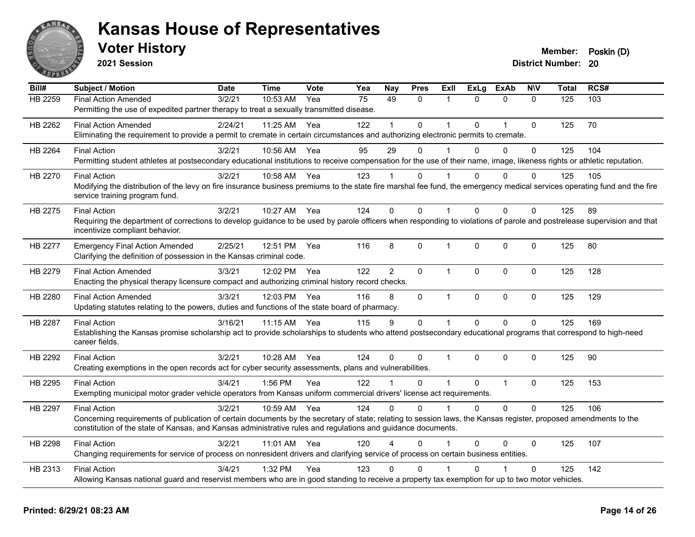

**2021 Session**

| Bill#          | <b>Subject / Motion</b>                                                                                                                                                   | <b>Date</b> | <b>Time</b>  | <b>Vote</b> | Yea | Nay            | <b>Pres</b>  | ExII         | <b>ExLg</b> | <b>ExAb</b>    | <b>NIV</b>   | <b>Total</b> | RCS# |
|----------------|---------------------------------------------------------------------------------------------------------------------------------------------------------------------------|-------------|--------------|-------------|-----|----------------|--------------|--------------|-------------|----------------|--------------|--------------|------|
| HB 2259        | <b>Final Action Amended</b>                                                                                                                                               | 3/2/21      | 10:53 AM     | Yea         | 75  | 49             | $\mathbf{0}$ | 1            | $\Omega$    | $\mathbf{0}$   | $\Omega$     | 125          | 103  |
|                | Permitting the use of expedited partner therapy to treat a sexually transmitted disease.                                                                                  |             |              |             |     |                |              |              |             |                |              |              |      |
| HB 2262        | <b>Final Action Amended</b>                                                                                                                                               | 2/24/21     | 11:25 AM Yea |             | 122 |                | $\mathbf 0$  |              | $\Omega$    | $\overline{1}$ | 0            | 125          | 70   |
|                | Eliminating the requirement to provide a permit to cremate in certain circumstances and authorizing electronic permits to cremate.                                        |             |              |             |     |                |              |              |             |                |              |              |      |
| HB 2264        | <b>Final Action</b>                                                                                                                                                       | 3/2/21      | 10:56 AM     | Yea         | 95  | 29             | $\mathbf{0}$ |              | $\Omega$    | $\mathbf{0}$   | 0            | 125          | 104  |
|                | Permitting student athletes at postsecondary educational institutions to receive compensation for the use of their name, image, likeness rights or athletic reputation.   |             |              |             |     |                |              |              |             |                |              |              |      |
| HB 2270        | <b>Final Action</b>                                                                                                                                                       | 3/2/21      | 10:58 AM Yea |             | 123 |                | $\Omega$     |              | U           | $\Omega$       | $\Omega$     | 125          | 105  |
|                | Modifying the distribution of the levy on fire insurance business premiums to the state fire marshal fee fund, the emergency medical services operating fund and the fire |             |              |             |     |                |              |              |             |                |              |              |      |
|                | service training program fund.                                                                                                                                            |             |              |             |     |                |              |              |             |                |              |              |      |
| HB 2275        | <b>Final Action</b>                                                                                                                                                       | 3/2/21      | 10:27 AM     | Yea         | 124 | $\Omega$       | $\Omega$     |              | $\Omega$    | $\mathbf{0}$   | $\Omega$     | 125          | 89   |
|                | Requiring the department of corrections to develop guidance to be used by parole officers when responding to violations of parole and postrelease supervision and that    |             |              |             |     |                |              |              |             |                |              |              |      |
|                | incentivize compliant behavior.                                                                                                                                           |             |              |             |     |                |              |              |             |                |              |              |      |
| HB 2277        | <b>Emergency Final Action Amended</b>                                                                                                                                     | 2/25/21     | 12:51 PM     | Yea         | 116 | 8              | $\mathbf 0$  | 1            | $\Omega$    | $\mathbf 0$    | 0            | 125          | 80   |
|                | Clarifying the definition of possession in the Kansas criminal code.                                                                                                      |             |              |             |     |                |              |              |             |                |              |              |      |
| HB 2279        | <b>Final Action Amended</b>                                                                                                                                               | 3/3/21      | 12:02 PM     | Yea         | 122 | $\overline{2}$ | $\mathbf 0$  | $\mathbf{1}$ | $\Omega$    | $\mathbf{0}$   | $\mathbf{0}$ | 125          | 128  |
|                | Enacting the physical therapy licensure compact and authorizing criminal history record checks.                                                                           |             |              |             |     |                |              |              |             |                |              |              |      |
| HB 2280        | <b>Final Action Amended</b>                                                                                                                                               | 3/3/21      | 12:03 PM     | Yea         | 116 | 8              | $\mathbf{0}$ | $\mathbf 1$  | $\Omega$    | $\mathbf 0$    | $\mathbf 0$  | 125          | 129  |
|                | Updating statutes relating to the powers, duties and functions of the state board of pharmacy.                                                                            |             |              |             |     |                |              |              |             |                |              |              |      |
| <b>HB 2287</b> | <b>Final Action</b>                                                                                                                                                       | 3/16/21     | 11:15 AM     | Yea         | 115 | 9              | $\mathbf{0}$ | 1            | $\Omega$    | $\mathbf{0}$   | $\Omega$     | 125          | 169  |
|                | Establishing the Kansas promise scholarship act to provide scholarships to students who attend postsecondary educational programs that correspond to high-need            |             |              |             |     |                |              |              |             |                |              |              |      |
|                | career fields.                                                                                                                                                            |             |              |             |     |                |              |              |             |                |              |              |      |
| HB 2292        | <b>Final Action</b>                                                                                                                                                       | 3/2/21      | 10:28 AM     | Yea         | 124 | $\Omega$       | $\Omega$     | $\mathbf{1}$ | $\Omega$    | $\mathbf 0$    | 0            | 125          | 90   |
|                | Creating exemptions in the open records act for cyber security assessments, plans and vulnerabilities.                                                                    |             |              |             |     |                |              |              |             |                |              |              |      |
| HB 2295        | <b>Final Action</b>                                                                                                                                                       | 3/4/21      | 1:56 PM      | Yea         | 122 |                | $\Omega$     | $\mathbf{1}$ | $\Omega$    | $\mathbf{1}$   | $\mathbf{0}$ | 125          | 153  |
|                | Exempting municipal motor grader vehicle operators from Kansas uniform commercial drivers' license act requirements.                                                      |             |              |             |     |                |              |              |             |                |              |              |      |
| HB 2297        | <b>Final Action</b>                                                                                                                                                       | 3/2/21      | 10:59 AM     | Yea         | 124 | $\Omega$       | $\Omega$     | 1            | $\Omega$    | $\Omega$       | $\mathbf{0}$ | 125          | 106  |
|                | Concerning requirements of publication of certain documents by the secretary of state; relating to session laws, the Kansas register, proposed amendments to the          |             |              |             |     |                |              |              |             |                |              |              |      |
|                | constitution of the state of Kansas, and Kansas administrative rules and regulations and guidance documents.                                                              |             |              |             |     |                |              |              |             |                |              |              |      |
| HB 2298        | <b>Final Action</b>                                                                                                                                                       | 3/2/21      | 11:01 AM Yea |             | 120 |                | $\Omega$     |              | $\Omega$    | $\Omega$       | $\Omega$     | 125          | 107  |
|                | Changing requirements for service of process on nonresident drivers and clarifying service of process on certain business entities.                                       |             |              |             |     |                |              |              |             |                |              |              |      |
| HB 2313        | <b>Final Action</b>                                                                                                                                                       | 3/4/21      | 1:32 PM      | Yea         | 123 | $\Omega$       | $\Omega$     |              |             |                | $\Omega$     | 125          | 142  |
|                | Allowing Kansas national guard and reservist members who are in good standing to receive a property tax exemption for up to two motor vehicles.                           |             |              |             |     |                |              |              |             |                |              |              |      |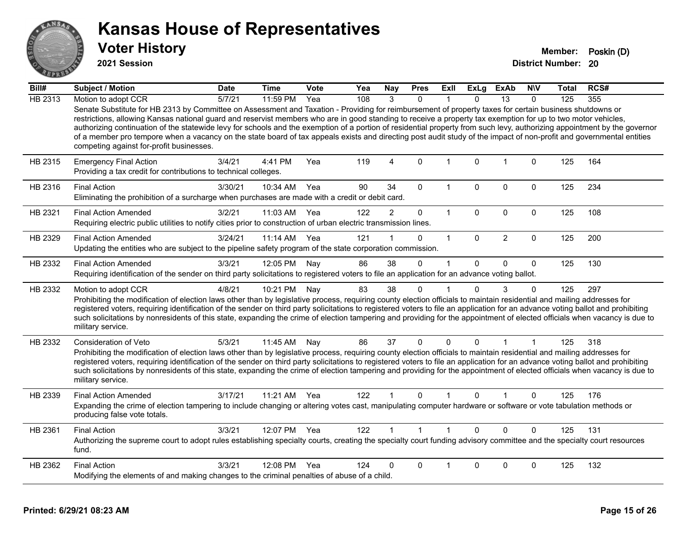

**2021 Session**

| Bill#   | Subject / Motion                                                                                                                                                                                                                                                                                                                                                                                                                                                                                                                                                                                                                                                                                                          | <b>Date</b> | <b>Time</b>  | Vote | Yea | <b>Nay</b>     | <b>Pres</b>  | Exll         | <b>ExLg</b>  | <b>ExAb</b>     | <b>NIV</b>   | Total | RCS# |
|---------|---------------------------------------------------------------------------------------------------------------------------------------------------------------------------------------------------------------------------------------------------------------------------------------------------------------------------------------------------------------------------------------------------------------------------------------------------------------------------------------------------------------------------------------------------------------------------------------------------------------------------------------------------------------------------------------------------------------------------|-------------|--------------|------|-----|----------------|--------------|--------------|--------------|-----------------|--------------|-------|------|
| HB 2313 | Motion to adopt CCR                                                                                                                                                                                                                                                                                                                                                                                                                                                                                                                                                                                                                                                                                                       | 5/7/21      | 11:59 PM     | Yea  | 108 | 3              | $\Omega$     |              | $\Omega$     | $\overline{13}$ | $\Omega$     | 125   | 355  |
|         | Senate Substitute for HB 2313 by Committee on Assessment and Taxation - Providing for reimbursement of property taxes for certain business shutdowns or<br>restrictions, allowing Kansas national guard and reservist members who are in good standing to receive a property tax exemption for up to two motor vehicles,<br>authorizing continuation of the statewide levy for schools and the exemption of a portion of residential property from such levy, authorizing appointment by the governor<br>of a member pro tempore when a vacancy on the state board of tax appeals exists and directing post audit study of the impact of non-profit and governmental entities<br>competing against for-profit businesses. |             |              |      |     |                |              |              |              |                 |              |       |      |
| HB 2315 | <b>Emergency Final Action</b><br>Providing a tax credit for contributions to technical colleges.                                                                                                                                                                                                                                                                                                                                                                                                                                                                                                                                                                                                                          | 3/4/21      | 4:41 PM      | Yea  | 119 | $\overline{4}$ | $\mathbf 0$  | $\mathbf 1$  | $\mathbf{0}$ | $\overline{1}$  | $\mathbf 0$  | 125   | 164  |
| HB 2316 | <b>Final Action</b><br>Eliminating the prohibition of a surcharge when purchases are made with a credit or debit card.                                                                                                                                                                                                                                                                                                                                                                                                                                                                                                                                                                                                    | 3/30/21     | 10:34 AM     | Yea  | 90  | 34             | $\mathbf{0}$ | 1            | $\Omega$     | $\mathbf 0$     | $\mathbf 0$  | 125   | 234  |
| HB 2321 | <b>Final Action Amended</b><br>Requiring electric public utilities to notify cities prior to construction of urban electric transmission lines.                                                                                                                                                                                                                                                                                                                                                                                                                                                                                                                                                                           | 3/2/21      | 11:03 AM     | Yea  | 122 | $\overline{2}$ | $\mathbf 0$  | $\mathbf{1}$ | $\mathbf 0$  | $\mathbf 0$     | $\mathbf 0$  | 125   | 108  |
| HB 2329 | <b>Final Action Amended</b><br>Updating the entities who are subject to the pipeline safety program of the state corporation commission.                                                                                                                                                                                                                                                                                                                                                                                                                                                                                                                                                                                  | 3/24/21     | 11:14 AM     | Yea  | 121 |                | $\Omega$     | $\mathbf{1}$ | $\mathbf{0}$ | $\overline{2}$  | $\mathbf 0$  | 125   | 200  |
| HB 2332 | <b>Final Action Amended</b><br>Requiring identification of the sender on third party solicitations to registered voters to file an application for an advance voting ballot.                                                                                                                                                                                                                                                                                                                                                                                                                                                                                                                                              | 3/3/21      | 12:05 PM     | Nay  | 86  | 38             | $\Omega$     | 1            | $\Omega$     | $\mathbf{0}$    | $\Omega$     | 125   | 130  |
| HB 2332 | Motion to adopt CCR<br>Prohibiting the modification of election laws other than by legislative process, requiring county election officials to maintain residential and mailing addresses for<br>registered voters, requiring identification of the sender on third party solicitations to registered voters to file an application for an advance voting ballot and prohibiting<br>such solicitations by nonresidents of this state, expanding the crime of election tampering and providing for the appointment of elected officials when vacancy is due to<br>military service.                                                                                                                                        | 4/8/21      | 10:21 PM     | Nay  | 83  | 38             | $\mathbf 0$  |              | $\Omega$     | 3               | $\mathbf{0}$ | 125   | 297  |
| HB 2332 | <b>Consideration of Veto</b><br>Prohibiting the modification of election laws other than by legislative process, requiring county election officials to maintain residential and mailing addresses for<br>registered voters, requiring identification of the sender on third party solicitations to registered voters to file an application for an advance voting ballot and prohibiting<br>such solicitations by nonresidents of this state, expanding the crime of election tampering and providing for the appointment of elected officials when vacancy is due to<br>military service.                                                                                                                               | 5/3/21      | 11:45 AM     | Nay  | 86  | 37             | $\mathbf{0}$ | $\Omega$     | $\Omega$     |                 | 1            | 125   | 318  |
| HB 2339 | <b>Final Action Amended</b><br>Expanding the crime of election tampering to include changing or altering votes cast, manipulating computer hardware or software or vote tabulation methods or<br>producing false vote totals.                                                                                                                                                                                                                                                                                                                                                                                                                                                                                             | 3/17/21     | 11:21 AM     | Yea  | 122 |                | $\Omega$     |              | $\Omega$     |                 | $\Omega$     | 125   | 176  |
| HB 2361 | <b>Final Action</b><br>Authorizing the supreme court to adopt rules establishing specialty courts, creating the specialty court funding advisory committee and the specialty court resources<br>fund.                                                                                                                                                                                                                                                                                                                                                                                                                                                                                                                     | 3/3/21      | 12:07 PM Yea |      | 122 |                | $\mathbf{1}$ | $\mathbf{1}$ | $\Omega$     | $\Omega$        | $\Omega$     | 125   | 131  |
| HB 2362 | <b>Final Action</b><br>Modifying the elements of and making changes to the criminal penalties of abuse of a child.                                                                                                                                                                                                                                                                                                                                                                                                                                                                                                                                                                                                        | 3/3/21      | 12:08 PM     | Yea  | 124 | 0              | $\Omega$     |              | $\Omega$     | $\mathbf 0$     | 0            | 125   | 132  |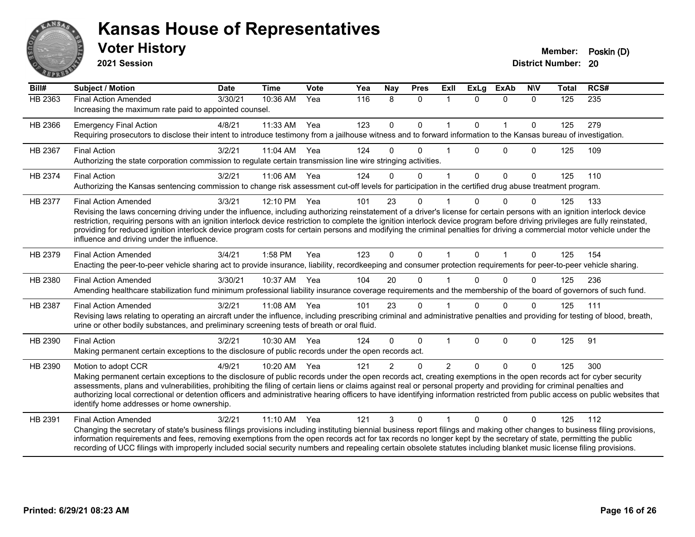

**2021 Session**

| Bill#          | <b>Subject / Motion</b>                                                                                                                                                                                                                                                                                                                                                                                                                                                                                                                                                                                             | <b>Date</b> | <b>Time</b>  | <b>Vote</b> | Yea | Nay           | <b>Pres</b>  | ExIl           | <b>ExLg</b>  | <b>ExAb</b>  | <b>NIV</b>  | <b>Total</b> | RCS# |
|----------------|---------------------------------------------------------------------------------------------------------------------------------------------------------------------------------------------------------------------------------------------------------------------------------------------------------------------------------------------------------------------------------------------------------------------------------------------------------------------------------------------------------------------------------------------------------------------------------------------------------------------|-------------|--------------|-------------|-----|---------------|--------------|----------------|--------------|--------------|-------------|--------------|------|
| <b>HB 2363</b> | <b>Final Action Amended</b><br>Increasing the maximum rate paid to appointed counsel.                                                                                                                                                                                                                                                                                                                                                                                                                                                                                                                               | 3/30/21     | 10:36 AM     | Yea         | 116 | 8             | $\mathbf{0}$ | $\mathbf{1}$   | $\Omega$     | $\mathbf{0}$ | $\Omega$    | 125          | 235  |
| HB 2366        | <b>Emergency Final Action</b><br>Requiring prosecutors to disclose their intent to introduce testimony from a jailhouse witness and to forward information to the Kansas bureau of investigation.                                                                                                                                                                                                                                                                                                                                                                                                                   | 4/8/21      | 11:33 AM     | Yea         | 123 | $\mathbf 0$   | $\mathbf 0$  | $\mathbf{1}$   | $\Omega$     | $\mathbf{1}$ | $\Omega$    | 125          | 279  |
| HB 2367        | <b>Final Action</b><br>Authorizing the state corporation commission to regulate certain transmission line wire stringing activities.                                                                                                                                                                                                                                                                                                                                                                                                                                                                                | 3/2/21      | 11:04 AM Yea |             | 124 | 0             | $\Omega$     |                | $\Omega$     | $\Omega$     | $\Omega$    | 125          | 109  |
| HB 2374        | <b>Final Action</b><br>Authorizing the Kansas sentencing commission to change risk assessment cut-off levels for participation in the certified drug abuse treatment program.                                                                                                                                                                                                                                                                                                                                                                                                                                       | 3/2/21      | 11:06 AM     | Yea         | 124 | 0             | $\mathbf{0}$ |                | $\Omega$     | $\mathbf 0$  | $\mathbf 0$ | 125          | 110  |
| HB 2377        | <b>Final Action Amended</b><br>Revising the laws concerning driving under the influence, including authorizing reinstatement of a driver's license for certain persons with an ignition interlock device<br>restriction, requiring persons with an ignition interlock device restriction to complete the ignition interlock device program before driving privileges are fully reinstated,<br>providing for reduced ignition interlock device program costs for certain persons and modifying the criminal penalties for driving a commercial motor vehicle under the<br>influence and driving under the influence. | 3/3/21      | 12:10 PM     | Yea         | 101 | 23            | $\Omega$     |                | $\Omega$     | $\Omega$     | $\Omega$    | 125          | 133  |
| HB 2379        | <b>Final Action Amended</b><br>Enacting the peer-to-peer vehicle sharing act to provide insurance, liability, recordkeeping and consumer protection requirements for peer-to-peer vehicle sharing.                                                                                                                                                                                                                                                                                                                                                                                                                  | 3/4/21      | $1:58$ PM    | Yea         | 123 | $\mathbf 0$   | $\Omega$     | 1              | $\Omega$     |              | $\Omega$    | 125          | 154  |
| HB 2380        | <b>Final Action Amended</b><br>Amending healthcare stabilization fund minimum professional liability insurance coverage requirements and the membership of the board of governors of such fund.                                                                                                                                                                                                                                                                                                                                                                                                                     | 3/30/21     | 10:37 AM     | Yea         | 104 | 20            | $\Omega$     |                | $\Omega$     | $\Omega$     | 0           | 125          | 236  |
| HB 2387        | <b>Final Action Amended</b><br>Revising laws relating to operating an aircraft under the influence, including prescribing criminal and administrative penalties and providing for testing of blood, breath,<br>urine or other bodily substances, and preliminary screening tests of breath or oral fluid.                                                                                                                                                                                                                                                                                                           | 3/2/21      | 11:08 AM     | Yea         | 101 | 23            | $\Omega$     |                | $\Omega$     | $\Omega$     | $\Omega$    | 125          | 111  |
| HB 2390        | <b>Final Action</b><br>Making permanent certain exceptions to the disclosure of public records under the open records act.                                                                                                                                                                                                                                                                                                                                                                                                                                                                                          | 3/2/21      | 10:30 AM     | Yea         | 124 | $\Omega$      | $\mathbf 0$  | 1              | $\mathbf{0}$ | $\mathbf 0$  | $\mathbf 0$ | 125          | 91   |
| HB 2390        | Motion to adopt CCR<br>Making permanent certain exceptions to the disclosure of public records under the open records act, creating exemptions in the open records act for cyber security<br>assessments, plans and vulnerabilities, prohibiting the filing of certain liens or claims against real or personal property and providing for criminal penalties and<br>authorizing local correctional or detention officers and administrative hearing officers to have identifying information restricted from public access on public websites that<br>identify home addresses or home ownership.                   | 4/9/21      | $10:20$ AM   | Yea         | 121 | $\mathcal{P}$ | $\Omega$     | $\mathfrak{p}$ | $\Omega$     | $\Omega$     | $\Omega$    | 125          | 300  |
| HB 2391        | <b>Final Action Amended</b><br>Changing the secretary of state's business filings provisions including instituting biennial business report filings and making other changes to business filing provisions,<br>information requirements and fees, removing exemptions from the open records act for tax records no longer kept by the secretary of state, permitting the public<br>recording of UCC filings with improperly included social security numbers and repealing certain obsolete statutes including blanket music license filing provisions.                                                             | 3/2/21      | 11:10 AM     | Yea         | 121 | 3             | $\Omega$     |                | $\Omega$     | $\Omega$     | 0           | 125          | 112  |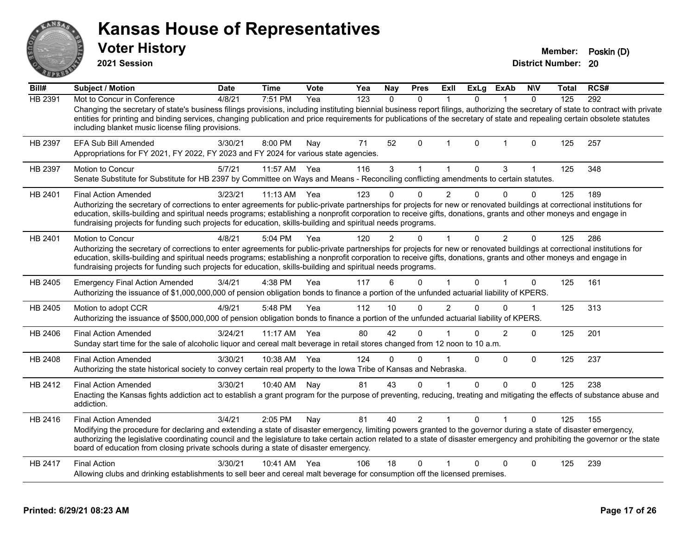|         | <b>Voter History</b><br>2021 Session                                                                                                                                                                                                                                                                                                                                                                                                                                                        |             |              |      |     |               |                |                |              |                |              | Member:<br><b>District Number: 20</b> | Poskin (D) |
|---------|---------------------------------------------------------------------------------------------------------------------------------------------------------------------------------------------------------------------------------------------------------------------------------------------------------------------------------------------------------------------------------------------------------------------------------------------------------------------------------------------|-------------|--------------|------|-----|---------------|----------------|----------------|--------------|----------------|--------------|---------------------------------------|------------|
| Bill#   | <b>Subject / Motion</b>                                                                                                                                                                                                                                                                                                                                                                                                                                                                     | <b>Date</b> | <b>Time</b>  | Vote | Yea | <b>Nay</b>    | <b>Pres</b>    | <b>Exll</b>    | ExLg         | <b>ExAb</b>    | <b>NIV</b>   | Total                                 | RCS#       |
| HB 2391 | Mot to Concur in Conference<br>Changing the secretary of state's business filings provisions, including instituting biennial business report filings, authorizing the secretary of state to contract with private<br>entities for printing and binding services, changing publication and price requirements for publications of the secretary of state and repealing certain obsolete statutes<br>including blanket music license filing provisions.                                       | 4/8/21      | 7:51 PM      | Yea  | 123 | $\mathbf{0}$  | $\Omega$       | $\mathbf{1}$   | $\mathbf{0}$ | $\mathbf{1}$   | $\Omega$     | 125                                   | 292        |
| HB 2397 | <b>EFA Sub Bill Amended</b><br>Appropriations for FY 2021, FY 2022, FY 2023 and FY 2024 for various state agencies.                                                                                                                                                                                                                                                                                                                                                                         | 3/30/21     | 8:00 PM      | Nay  | 71  | 52            | $\Omega$       | 1              | 0            | 1              | 0            | 125                                   | 257        |
| HB 2397 | <b>Motion to Concur</b><br>Senate Substitute for Substitute for HB 2397 by Committee on Ways and Means - Reconciling conflicting amendments to certain statutes.                                                                                                                                                                                                                                                                                                                            | 5/7/21      | 11:57 AM     | Yea  | 116 | 3             | 1              | 1              | $\mathbf 0$  | 3              | $\mathbf{1}$ | 125                                   | 348        |
| HB 2401 | <b>Final Action Amended</b><br>Authorizing the secretary of corrections to enter agreements for public-private partnerships for projects for new or renovated buildings at correctional institutions for<br>education, skills-building and spiritual needs programs; establishing a nonprofit corporation to receive gifts, donations, grants and other moneys and engage in<br>fundraising projects for funding such projects for education, skills-building and spiritual needs programs. | 3/23/21     | $11:13$ AM   | Yea  | 123 | 0             | 0              | $\overline{2}$ | $\mathbf 0$  | $\Omega$       | $\Omega$     | 125                                   | 189        |
| HB 2401 | <b>Motion to Concur</b><br>Authorizing the secretary of corrections to enter agreements for public-private partnerships for projects for new or renovated buildings at correctional institutions for<br>education, skills-building and spiritual needs programs; establishing a nonprofit corporation to receive gifts, donations, grants and other moneys and engage in<br>fundraising projects for funding such projects for education, skills-building and spiritual needs programs.     | 4/8/21      | 5:04 PM      | Yea  | 120 | $\mathcal{P}$ | 0              | 1              | $\mathbf 0$  | $\overline{2}$ | 0            | 125                                   | 286        |
| HB 2405 | <b>Emergency Final Action Amended</b><br>Authorizing the issuance of \$1,000,000,000 of pension obligation bonds to finance a portion of the unfunded actuarial liability of KPERS.                                                                                                                                                                                                                                                                                                         | 3/4/21      | $4:38$ PM    | Yea  | 117 | 6             | $\Omega$       | 1              | $\Omega$     |                | $\Omega$     | 125                                   | 161        |
| HB 2405 | Motion to adopt CCR<br>Authorizing the issuance of \$500,000,000 of pension obligation bonds to finance a portion of the unfunded actuarial liability of KPERS.                                                                                                                                                                                                                                                                                                                             | 4/9/21      | 5:48 PM      | Yea  | 112 | 10            | $\Omega$       | $\mathfrak{p}$ | $\Omega$     | $\Omega$       | $\mathbf{1}$ | 125                                   | 313        |
| HB 2406 | <b>Final Action Amended</b><br>Sunday start time for the sale of alcoholic liquor and cereal malt beverage in retail stores changed from 12 noon to 10 a.m.                                                                                                                                                                                                                                                                                                                                 | 3/24/21     | 11:17 AM     | Yea  | 80  | 42            | $\Omega$       |                | $\mathbf{0}$ | $\overline{2}$ | $\Omega$     | 125                                   | 201        |
| HB 2408 | <b>Final Action Amended</b><br>Authorizing the state historical society to convey certain real property to the lowa Tribe of Kansas and Nebraska.                                                                                                                                                                                                                                                                                                                                           | 3/30/21     | 10:38 AM Yea |      | 124 | $\Omega$      | $\Omega$       |                | $\Omega$     | $\Omega$       | $\Omega$     | 125                                   | 237        |
| HB 2412 | <b>Final Action Amended</b><br>Enacting the Kansas fights addiction act to establish a grant program for the purpose of preventing, reducing, treating and mitigating the effects of substance abuse and<br>addiction.                                                                                                                                                                                                                                                                      | 3/30/21     | 10:40 AM     | Nav  | 81  | 43            | $\Omega$       | 1              | $\mathbf 0$  | $\Omega$       | $\Omega$     | 125                                   | 238        |
| HB 2416 | <b>Final Action Amended</b><br>Modifying the procedure for declaring and extending a state of disaster emergency, limiting powers granted to the governor during a state of disaster emergency,<br>authorizing the legislative coordinating council and the legislature to take certain action related to a state of disaster emergency and prohibiting the governor or the state                                                                                                           | 3/4/21      | $2:05$ PM    | Nav  | 81  | 40            | $\overline{2}$ | 1              | $\Omega$     |                | $\Omega$     | 125                                   | 155        |
|         | board of education from closing private schools during a state of disaster emergency.                                                                                                                                                                                                                                                                                                                                                                                                       |             |              |      |     |               |                |                |              |                |              |                                       |            |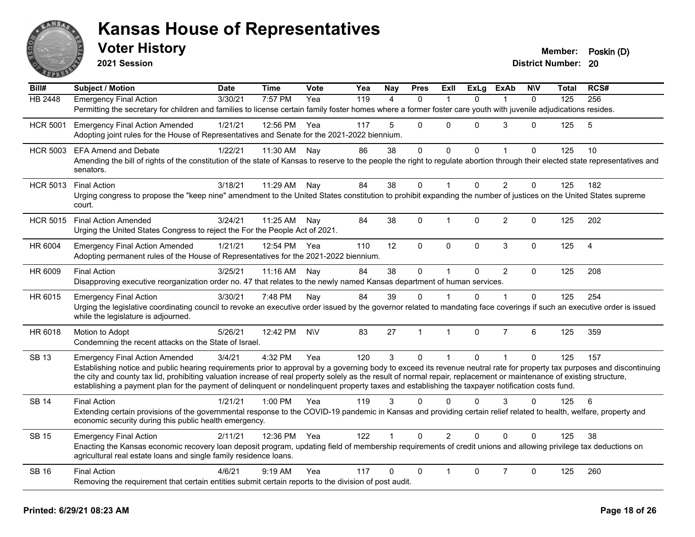

| Bill#           | <b>Subject / Motion</b>                                                                                                                                                                                                                                                                                                                           | <b>Date</b> | <b>Time</b>  | Vote      | Yea | Nay            | <b>Pres</b>  | ExIl           | <b>ExLg</b> | <b>ExAb</b>    | <b>NIV</b>   | Total | RCS#           |
|-----------------|---------------------------------------------------------------------------------------------------------------------------------------------------------------------------------------------------------------------------------------------------------------------------------------------------------------------------------------------------|-------------|--------------|-----------|-----|----------------|--------------|----------------|-------------|----------------|--------------|-------|----------------|
| <b>HB 2448</b>  | <b>Emergency Final Action</b>                                                                                                                                                                                                                                                                                                                     | 3/30/21     | 7:57 PM      | Yea       | 119 | $\overline{4}$ | $\mathbf{0}$ | $\mathbf{1}$   | $\Omega$    | 1              | $\mathbf{0}$ | 125   | 256            |
|                 | Permitting the secretary for children and families to license certain family foster homes where a former foster care youth with juvenile adjudications resides.                                                                                                                                                                                   |             |              |           |     |                |              |                |             |                |              |       |                |
| <b>HCR 5001</b> | <b>Emergency Final Action Amended</b>                                                                                                                                                                                                                                                                                                             | 1/21/21     | 12:56 PM     | Yea       | 117 | 5              | $\mathbf{0}$ | $\Omega$       | $\Omega$    | 3              | $\Omega$     | 125   | $\overline{5}$ |
|                 | Adopting joint rules for the House of Representatives and Senate for the 2021-2022 biennium.                                                                                                                                                                                                                                                      |             |              |           |     |                |              |                |             |                |              |       |                |
| <b>HCR 5003</b> | <b>EFA Amend and Debate</b>                                                                                                                                                                                                                                                                                                                       | 1/22/21     | 11:30 AM     | Nay       | 86  | 38             | $\mathsf{O}$ | $\mathbf 0$    | $\mathbf 0$ | $\mathbf{1}$   | $\mathbf 0$  | 125   | 10             |
|                 | Amending the bill of rights of the constitution of the state of Kansas to reserve to the people the right to regulate abortion through their elected state representatives and<br>senators.                                                                                                                                                       |             |              |           |     |                |              |                |             |                |              |       |                |
|                 | HCR 5013 Final Action                                                                                                                                                                                                                                                                                                                             | 3/18/21     | 11:29 AM Nay |           | 84  | 38             | $\Omega$     |                | $\Omega$    | $\overline{2}$ | $\mathbf{0}$ | 125   | 182            |
|                 | Urging congress to propose the "keep nine" amendment to the United States constitution to prohibit expanding the number of justices on the United States supreme<br>court.                                                                                                                                                                        |             |              |           |     |                |              |                |             |                |              |       |                |
| <b>HCR 5015</b> | <b>Final Action Amended</b>                                                                                                                                                                                                                                                                                                                       | 3/24/21     | 11:25 AM     | Nav       | 84  | 38             | $\mathbf 0$  | $\mathbf{1}$   | $\mathbf 0$ | $\overline{c}$ | $\mathbf 0$  | 125   | 202            |
|                 | Urging the United States Congress to reject the For the People Act of 2021.                                                                                                                                                                                                                                                                       |             |              |           |     |                |              |                |             |                |              |       |                |
| HR 6004         | <b>Emergency Final Action Amended</b>                                                                                                                                                                                                                                                                                                             | 1/21/21     | 12:54 PM Yea |           | 110 | 12             | $\mathbf{0}$ | $\mathbf{0}$   | $\Omega$    | 3              | $\Omega$     | 125   | $\overline{4}$ |
|                 | Adopting permanent rules of the House of Representatives for the 2021-2022 biennium.                                                                                                                                                                                                                                                              |             |              |           |     |                |              |                |             |                |              |       |                |
| HR 6009         | <b>Final Action</b>                                                                                                                                                                                                                                                                                                                               | 3/25/21     | 11:16 AM     | Nav       | 84  | 38             | $\Omega$     | $\mathbf 1$    | $\Omega$    | $\overline{2}$ | $\Omega$     | 125   | 208            |
|                 | Disapproving executive reorganization order no. 47 that relates to the newly named Kansas department of human services.                                                                                                                                                                                                                           |             |              |           |     |                |              |                |             |                |              |       |                |
| HR 6015         | <b>Emergency Final Action</b>                                                                                                                                                                                                                                                                                                                     | 3/30/21     | 7:48 PM      | Nay       | 84  | 39             | $\Omega$     |                | $\Omega$    |                | $\Omega$     | 125   | 254            |
|                 | Urging the legislative coordinating council to revoke an executive order issued by the governor related to mandating face coverings if such an executive order is issued<br>while the legislature is adjourned.                                                                                                                                   |             |              |           |     |                |              |                |             |                |              |       |                |
| HR 6018         | Motion to Adopt                                                                                                                                                                                                                                                                                                                                   | 5/26/21     | 12:42 PM     | <b>NV</b> | 83  | 27             | $\mathbf{1}$ | $\overline{1}$ | $\Omega$    | $\overline{7}$ | 6            | 125   | 359            |
|                 | Condemning the recent attacks on the State of Israel.                                                                                                                                                                                                                                                                                             |             |              |           |     |                |              |                |             |                |              |       |                |
| <b>SB 13</b>    | <b>Emergency Final Action Amended</b>                                                                                                                                                                                                                                                                                                             | 3/4/21      | 4:32 PM      | Yea       | 120 | 3              | $\mathbf 0$  | $\mathbf{1}$   | $\Omega$    | $\mathbf{1}$   | $\mathbf{0}$ | 125   | 157            |
|                 | Establishing notice and public hearing requirements prior to approval by a governing body to exceed its revenue neutral rate for property tax purposes and discontinuing<br>the city and county tax lid, prohibiting valuation increase of real property solely as the result of normal repair, replacement or maintenance of existing structure, |             |              |           |     |                |              |                |             |                |              |       |                |
|                 | establishing a payment plan for the payment of delinquent or nondelinquent property taxes and establishing the taxpayer notification costs fund.                                                                                                                                                                                                  |             |              |           |     |                |              |                |             |                |              |       |                |
| <b>SB 14</b>    | <b>Final Action</b>                                                                                                                                                                                                                                                                                                                               | 1/21/21     | 1:00 PM      | Yea       | 119 | 3              | $\Omega$     | $\Omega$       | $\Omega$    | 3              | $\Omega$     | 125   | 6              |
|                 | Extending certain provisions of the governmental response to the COVID-19 pandemic in Kansas and providing certain relief related to health, welfare, property and                                                                                                                                                                                |             |              |           |     |                |              |                |             |                |              |       |                |
|                 | economic security during this public health emergency.                                                                                                                                                                                                                                                                                            |             |              |           |     |                |              |                |             |                |              |       |                |
| <b>SB 15</b>    | <b>Emergency Final Action</b>                                                                                                                                                                                                                                                                                                                     | 2/11/21     | 12:36 PM     | Yea       | 122 |                | $\mathbf{0}$ | $\overline{2}$ | $\Omega$    | $\Omega$       | $\Omega$     | 125   | 38             |
|                 | Enacting the Kansas economic recovery loan deposit program, updating field of membership requirements of credit unions and allowing privilege tax deductions on<br>agricultural real estate loans and single family residence loans.                                                                                                              |             |              |           |     |                |              |                |             |                |              |       |                |
| <b>SB 16</b>    | <b>Final Action</b>                                                                                                                                                                                                                                                                                                                               | 4/6/21      | $9:19$ AM    | Yea       | 117 | $\Omega$       | $\mathbf{0}$ | $\overline{1}$ | $\Omega$    | $\overline{7}$ | $\mathbf 0$  | 125   | 260            |
|                 | Removing the requirement that certain entities submit certain reports to the division of post audit.                                                                                                                                                                                                                                              |             |              |           |     |                |              |                |             |                |              |       |                |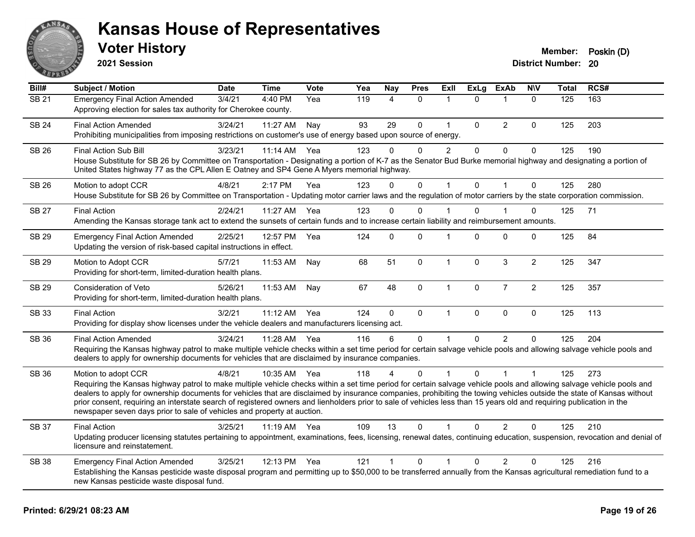

**2021 Session**

| Bill#        | <b>Subject / Motion</b>                                                                                                                                                                                                                                                                                                                                                                                                                                                                                                                                                                                                  | <b>Date</b> | <b>Time</b> | Vote | Yea | Nay            | <b>Pres</b>    | ExII           | <b>ExLg</b> | <b>ExAb</b>    | <b>NIV</b>     | <b>Total</b> | RCS# |
|--------------|--------------------------------------------------------------------------------------------------------------------------------------------------------------------------------------------------------------------------------------------------------------------------------------------------------------------------------------------------------------------------------------------------------------------------------------------------------------------------------------------------------------------------------------------------------------------------------------------------------------------------|-------------|-------------|------|-----|----------------|----------------|----------------|-------------|----------------|----------------|--------------|------|
| <b>SB 21</b> | <b>Emergency Final Action Amended</b><br>Approving election for sales tax authority for Cherokee county.                                                                                                                                                                                                                                                                                                                                                                                                                                                                                                                 | 3/4/21      | 4:40 PM     | Yea  | 119 | 4              | $\mathbf 0$    | 1              | 0           | $\overline{1}$ | $\mathbf 0$    | 125          | 163  |
| <b>SB 24</b> | <b>Final Action Amended</b><br>Prohibiting municipalities from imposing restrictions on customer's use of energy based upon source of energy.                                                                                                                                                                                                                                                                                                                                                                                                                                                                            | 3/24/21     | 11:27 AM    | Nay  | 93  | 29             | $\mathbf 0$    | $\mathbf{1}$   | 0           | $\overline{2}$ | $\Omega$       | 125          | 203  |
| SB 26        | Final Action Sub Bill<br>House Substitute for SB 26 by Committee on Transportation - Designating a portion of K-7 as the Senator Bud Burke memorial highway and designating a portion of<br>United States highway 77 as the CPL Allen E Oatney and SP4 Gene A Myers memorial highway.                                                                                                                                                                                                                                                                                                                                    | 3/23/21     | 11:14 AM    | Yea  | 123 | 0              | 0              | $\overline{2}$ | 0           | 0              | 0              | 125          | 190  |
| <b>SB 26</b> | Motion to adopt CCR<br>House Substitute for SB 26 by Committee on Transportation - Updating motor carrier laws and the regulation of motor carriers by the state corporation commission.                                                                                                                                                                                                                                                                                                                                                                                                                                 | 4/8/21      | 2:17 PM     | Yea  | 123 | $\Omega$       | $\Omega$       | $\mathbf 1$    | $\Omega$    | $\overline{1}$ | $\Omega$       | 125          | 280  |
| <b>SB 27</b> | <b>Final Action</b><br>Amending the Kansas storage tank act to extend the sunsets of certain funds and to increase certain liability and reimbursement amounts.                                                                                                                                                                                                                                                                                                                                                                                                                                                          | 2/24/21     | 11:27 AM    | Yea  | 123 | 0              | 0              |                | 0           |                | 0              | 125          | 71   |
| <b>SB 29</b> | <b>Emergency Final Action Amended</b><br>Updating the version of risk-based capital instructions in effect.                                                                                                                                                                                                                                                                                                                                                                                                                                                                                                              | 2/25/21     | 12:57 PM    | Yea  | 124 | $\Omega$       | $\Omega$       |                | $\Omega$    | $\Omega$       | $\Omega$       | 125          | 84   |
| <b>SB 29</b> | Motion to Adopt CCR<br>Providing for short-term, limited-duration health plans.                                                                                                                                                                                                                                                                                                                                                                                                                                                                                                                                          | 5/7/21      | 11:53 AM    | Nay  | 68  | 51             | $\mathbf 0$    | $\mathbf{1}$   | $\Omega$    | $\mathbf{3}$   | $\overline{2}$ | 125          | 347  |
| <b>SB 29</b> | Consideration of Veto<br>Providing for short-term, limited-duration health plans.                                                                                                                                                                                                                                                                                                                                                                                                                                                                                                                                        | 5/26/21     | 11:53 AM    | Nay  | 67  | 48             | 0              | $\mathbf{1}$   | 0           | $\overline{7}$ | $\overline{2}$ | 125          | 357  |
| SB 33        | <b>Final Action</b><br>Providing for display show licenses under the vehicle dealers and manufacturers licensing act.                                                                                                                                                                                                                                                                                                                                                                                                                                                                                                    | 3/2/21      | 11:12 AM    | Yea  | 124 | 0              | $\mathbf 0$    | $\mathbf{1}$   | 0           | $\mathbf 0$    | 0              | 125          | 113  |
| <b>SB 36</b> | <b>Final Action Amended</b><br>Requiring the Kansas highway patrol to make multiple vehicle checks within a set time period for certain salvage vehicle pools and allowing salvage vehicle pools and<br>dealers to apply for ownership documents for vehicles that are disclaimed by insurance companies.                                                                                                                                                                                                                                                                                                                | 3/24/21     | 11:28 AM    | Yea  | 116 | 6              | $\mathbf{0}$   |                | $\Omega$    | 2              | $\Omega$       | 125          | 204  |
| <b>SB 36</b> | Motion to adopt CCR<br>Requiring the Kansas highway patrol to make multiple vehicle checks within a set time period for certain salvage vehicle pools and allowing salvage vehicle pools and<br>dealers to apply for ownership documents for vehicles that are disclaimed by insurance companies, prohibiting the towing vehicles outside the state of Kansas without<br>prior consent, requiring an interstate search of registered owners and lienholders prior to sale of vehicles less than 15 years old and requiring publication in the<br>newspaper seven days prior to sale of vehicles and property at auction. | 4/8/21      | 10:35 AM    | Yea  | 118 | $\overline{4}$ | $\Omega$       |                | $\Omega$    |                | $\mathbf 1$    | 125          | 273  |
| SB 37        | <b>Final Action</b><br>Updating producer licensing statutes pertaining to appointment, examinations, fees, licensing, renewal dates, continuing education, suspension, revocation and denial of<br>licensure and reinstatement.                                                                                                                                                                                                                                                                                                                                                                                          | 3/25/21     | 11:19 AM    | Yea  | 109 | 13             | $\Omega$       |                | $\Omega$    | $\overline{2}$ | $\Omega$       | 125          | 210  |
| <b>SB 38</b> | <b>Emergency Final Action Amended</b><br>Establishing the Kansas pesticide waste disposal program and permitting up to \$50,000 to be transferred annually from the Kansas agricultural remediation fund to a<br>new Kansas pesticide waste disposal fund.                                                                                                                                                                                                                                                                                                                                                               | 3/25/21     | 12:13 PM    | Yea  | 121 | $\mathbf{1}$   | $\overline{0}$ |                | $\Omega$    | $\overline{2}$ | $\Omega$       | 125          | 216  |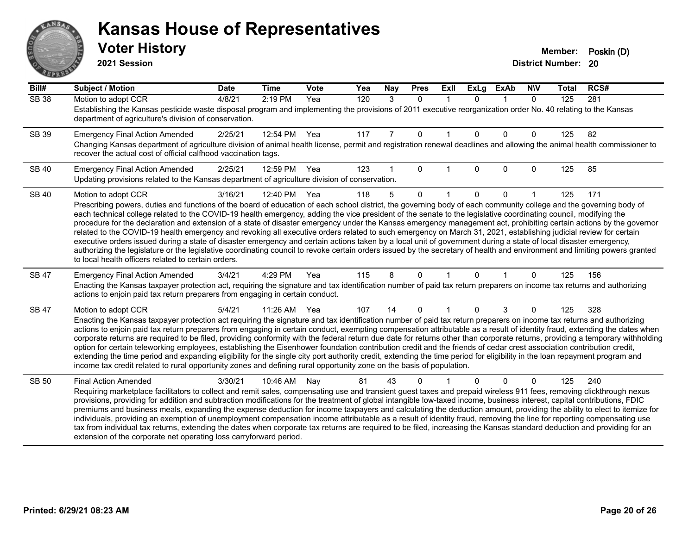# ANS **PIVE**

#### **Kansas House of Representatives**

| Bill#        | <b>Subject / Motion</b>                                                                                                                                                                                                                                                                                                                                                                                                                                                                                                                                                                                                                                                                                                                                                                                                                                                                                                                                                                                                                                                                                          | <b>Date</b> | <b>Time</b>  | <b>Vote</b> | Yea | <b>Nay</b>     | <b>Pres</b>  | ExII         | <b>ExLg</b>  | <b>ExAb</b>             | <b>NIV</b>   | Total | RCS# |  |
|--------------|------------------------------------------------------------------------------------------------------------------------------------------------------------------------------------------------------------------------------------------------------------------------------------------------------------------------------------------------------------------------------------------------------------------------------------------------------------------------------------------------------------------------------------------------------------------------------------------------------------------------------------------------------------------------------------------------------------------------------------------------------------------------------------------------------------------------------------------------------------------------------------------------------------------------------------------------------------------------------------------------------------------------------------------------------------------------------------------------------------------|-------------|--------------|-------------|-----|----------------|--------------|--------------|--------------|-------------------------|--------------|-------|------|--|
| <b>SB 38</b> | Motion to adopt CCR<br>Establishing the Kansas pesticide waste disposal program and implementing the provisions of 2011 executive reorganization order No. 40 relating to the Kansas<br>department of agriculture's division of conservation.                                                                                                                                                                                                                                                                                                                                                                                                                                                                                                                                                                                                                                                                                                                                                                                                                                                                    | 4/8/21      | $2:19$ PM    | Yea         | 120 | 3              | $\Omega$     | $\mathbf{1}$ | $\Omega$     | $\overline{1}$          | $\mathbf{0}$ | 125   | 281  |  |
| SB 39        | <b>Emergency Final Action Amended</b><br>Changing Kansas department of agriculture division of animal health license, permit and registration renewal deadlines and allowing the animal health commissioner to<br>recover the actual cost of official calfhood vaccination tags.                                                                                                                                                                                                                                                                                                                                                                                                                                                                                                                                                                                                                                                                                                                                                                                                                                 | 2/25/21     | 12:54 PM     | Yea         | 117 | $\overline{7}$ | $\mathbf 0$  |              | $\mathbf{0}$ | $\Omega$                | $\mathbf{0}$ | 125   | 82   |  |
| <b>SB 40</b> | <b>Emergency Final Action Amended</b><br>Updating provisions related to the Kansas department of agriculture division of conservation.                                                                                                                                                                                                                                                                                                                                                                                                                                                                                                                                                                                                                                                                                                                                                                                                                                                                                                                                                                           | 2/25/21     | 12:59 PM     | Yea         | 123 |                | $\Omega$     |              | $\mathbf{0}$ | $\mathbf 0$             | $\mathbf{0}$ | 125   | 85   |  |
| <b>SB 40</b> | Motion to adopt CCR<br>Prescribing powers, duties and functions of the board of education of each school district, the governing body of each community college and the governing body of<br>each technical college related to the COVID-19 health emergency, adding the vice president of the senate to the legislative coordinating council, modifying the<br>procedure for the declaration and extension of a state of disaster emergency under the Kansas emergency management act, prohibiting certain actions by the governor<br>related to the COVID-19 health emergency and revoking all executive orders related to such emergency on March 31, 2021, establishing judicial review for certain<br>executive orders issued during a state of disaster emergency and certain actions taken by a local unit of government during a state of local disaster emergency,<br>authorizing the legislature or the legislative coordinating council to revoke certain orders issued by the secretary of health and environment and limiting powers granted<br>to local health officers related to certain orders. | 3/16/21     | 12:40 PM Yea |             | 118 | 5              | $\Omega$     |              | $\mathbf 0$  | $\mathbf 0$             |              | 125   | 171  |  |
| <b>SB 47</b> | <b>Emergency Final Action Amended</b><br>Enacting the Kansas taxpayer protection act, requiring the signature and tax identification number of paid tax return preparers on income tax returns and authorizing<br>actions to enjoin paid tax return preparers from engaging in certain conduct.                                                                                                                                                                                                                                                                                                                                                                                                                                                                                                                                                                                                                                                                                                                                                                                                                  | 3/4/21      | 4:29 PM      | Yea         | 115 | 8              | $\mathbf{0}$ | $\mathbf{1}$ | $\mathbf 0$  | $\overline{\mathbf{1}}$ | $\mathbf{0}$ | 125   | 156  |  |
| <b>SB 47</b> | Motion to adopt CCR<br>Enacting the Kansas taxpayer protection act requiring the signature and tax identification number of paid tax return preparers on income tax returns and authorizing<br>actions to enjoin paid tax return preparers from engaging in certain conduct, exempting compensation attributable as a result of identity fraud, extending the dates when<br>corporate returns are required to be filed, providing conformity with the federal return due date for returns other than corporate returns, providing a temporary withholding<br>option for certain teleworking employees, establishing the Eisenhower foundation contribution credit and the friends of cedar crest association contribution credit,<br>extending the time period and expanding eligibility for the single city port authority credit, extending the time period for eligibility in the loan repayment program and<br>income tax credit related to rural opportunity zones and defining rural opportunity zone on the basis of population.                                                                          | 5/4/21      | 11:26 AM     | Yea         | 107 | 14             | $\mathbf{0}$ | $\mathbf{1}$ | $\Omega$     | 3                       | $\mathbf{0}$ | 125   | 328  |  |
| <b>SB 50</b> | <b>Final Action Amended</b><br>Requiring marketplace facilitators to collect and remit sales, compensating use and transient guest taxes and prepaid wireless 911 fees, removing clickthrough nexus<br>provisions, providing for addition and subtraction modifications for the treatment of global intangible low-taxed income, business interest, capital contributions, FDIC<br>premiums and business meals, expanding the expense deduction for income taxpayers and calculating the deduction amount, providing the ability to elect to itemize for<br>individuals, providing an exemption of unemployment compensation income attributable as a result of identity fraud, removing the line for reporting compensating use<br>tax from individual tax returns, extending the dates when corporate tax returns are required to be filed, increasing the Kansas standard deduction and providing for an<br>extension of the corporate net operating loss carryforward period.                                                                                                                                | 3/30/21     | 10:46 AM     | Nav         | 81  | 43             | $\Omega$     |              | $\Omega$     | $\mathbf{0}$            | $\mathbf{0}$ | 125   | 240  |  |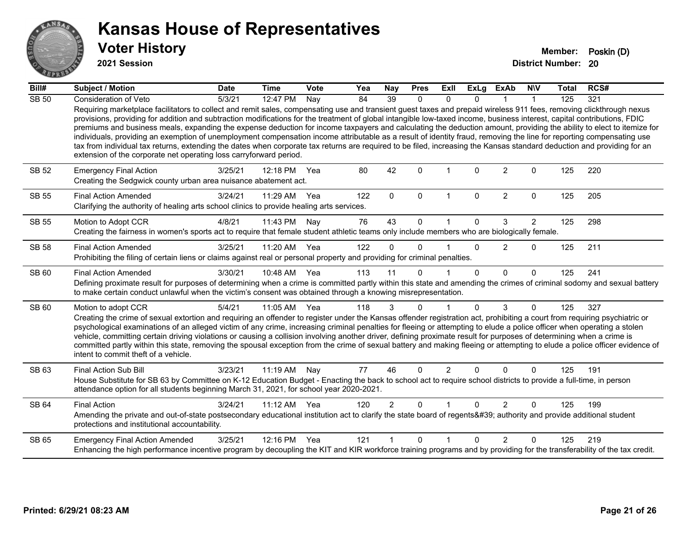

**2021 Session**

| Bill#        | <b>Subject / Motion</b>                                                                                                                                                                                                                                                                                                                                                                                                                                                                                                                                                                                                                                                                                                                                                                                                                                                                                                                            | <b>Date</b> | <b>Time</b>  | Vote | Yea | Nay            | <b>Pres</b>  | <b>Exll</b>    | <b>ExLg</b> | <b>ExAb</b>    | <b>NIV</b>   | <b>Total</b> | RCS# |
|--------------|----------------------------------------------------------------------------------------------------------------------------------------------------------------------------------------------------------------------------------------------------------------------------------------------------------------------------------------------------------------------------------------------------------------------------------------------------------------------------------------------------------------------------------------------------------------------------------------------------------------------------------------------------------------------------------------------------------------------------------------------------------------------------------------------------------------------------------------------------------------------------------------------------------------------------------------------------|-------------|--------------|------|-----|----------------|--------------|----------------|-------------|----------------|--------------|--------------|------|
| <b>SB 50</b> | Consideration of Veto                                                                                                                                                                                                                                                                                                                                                                                                                                                                                                                                                                                                                                                                                                                                                                                                                                                                                                                              | 5/3/21      | 12:47 PM     | Nay  | 84  | 39             | $\Omega$     | $\Omega$       | $\Omega$    |                |              | 125          | 321  |
|              | Requiring marketplace facilitators to collect and remit sales, compensating use and transient guest taxes and prepaid wireless 911 fees, removing clickthrough nexus<br>provisions, providing for addition and subtraction modifications for the treatment of global intangible low-taxed income, business interest, capital contributions, FDIC<br>premiums and business meals, expanding the expense deduction for income taxpayers and calculating the deduction amount, providing the ability to elect to itemize for<br>individuals, providing an exemption of unemployment compensation income attributable as a result of identity fraud, removing the line for reporting compensating use<br>tax from individual tax returns, extending the dates when corporate tax returns are required to be filed, increasing the Kansas standard deduction and providing for an<br>extension of the corporate net operating loss carryforward period. |             |              |      |     |                |              |                |             |                |              |              |      |
| SB 52        | <b>Emergency Final Action</b><br>Creating the Sedgwick county urban area nuisance abatement act.                                                                                                                                                                                                                                                                                                                                                                                                                                                                                                                                                                                                                                                                                                                                                                                                                                                   | 3/25/21     | 12:18 PM     | Yea  | 80  | 42             | $\Omega$     |                | $\Omega$    | $\overline{2}$ | $\Omega$     | 125          | 220  |
| SB 55        | <b>Final Action Amended</b><br>Clarifying the authority of healing arts school clinics to provide healing arts services.                                                                                                                                                                                                                                                                                                                                                                                                                                                                                                                                                                                                                                                                                                                                                                                                                           | 3/24/21     | 11:29 AM     | Yea  | 122 | $\mathbf{0}$   | $\Omega$     | 1              | $\Omega$    | $\overline{2}$ | $\Omega$     | 125          | 205  |
| <b>SB 55</b> | Motion to Adopt CCR                                                                                                                                                                                                                                                                                                                                                                                                                                                                                                                                                                                                                                                                                                                                                                                                                                                                                                                                | 4/8/21      | 11:43 PM     | Nay  | 76  | 43             | $\Omega$     |                | $\Omega$    | 3              | 2            | 125          | 298  |
|              | Creating the fairness in women's sports act to require that female student athletic teams only include members who are biologically female.                                                                                                                                                                                                                                                                                                                                                                                                                                                                                                                                                                                                                                                                                                                                                                                                        |             |              |      |     |                |              |                |             |                |              |              |      |
| <b>SB 58</b> | <b>Final Action Amended</b>                                                                                                                                                                                                                                                                                                                                                                                                                                                                                                                                                                                                                                                                                                                                                                                                                                                                                                                        | 3/25/21     | 11:20 AM     | Yea  | 122 | $\Omega$       | $\Omega$     |                | $\Omega$    | $\overline{2}$ | $\mathbf 0$  | 125          | 211  |
|              | Prohibiting the filing of certain liens or claims against real or personal property and providing for criminal penalties.                                                                                                                                                                                                                                                                                                                                                                                                                                                                                                                                                                                                                                                                                                                                                                                                                          |             |              |      |     |                |              |                |             |                |              |              |      |
| SB 60        | <b>Final Action Amended</b>                                                                                                                                                                                                                                                                                                                                                                                                                                                                                                                                                                                                                                                                                                                                                                                                                                                                                                                        | 3/30/21     | 10:48 AM Yea |      | 113 | 11             | $\Omega$     |                | $\Omega$    | $\Omega$       | $\mathbf{0}$ | 125          | 241  |
|              | Defining proximate result for purposes of determining when a crime is committed partly within this state and amending the crimes of criminal sodomy and sexual battery<br>to make certain conduct unlawful when the victim's consent was obtained through a knowing misrepresentation.                                                                                                                                                                                                                                                                                                                                                                                                                                                                                                                                                                                                                                                             |             |              |      |     |                |              |                |             |                |              |              |      |
| SB 60        | Motion to adopt CCR                                                                                                                                                                                                                                                                                                                                                                                                                                                                                                                                                                                                                                                                                                                                                                                                                                                                                                                                | 5/4/21      | 11:05 AM Yea |      | 118 | 3              | $\mathbf{0}$ |                | $\Omega$    | 3              | $\Omega$     | 125          | 327  |
|              | Creating the crime of sexual extortion and requiring an offender to register under the Kansas offender registration act, prohibiting a court from requiring psychiatric or<br>psychological examinations of an alleged victim of any crime, increasing criminal penalties for fleeing or attempting to elude a police officer when operating a stolen<br>vehicle, committing certain driving violations or causing a collision involving another driver, defining proximate result for purposes of determining when a crime is<br>committed partly within this state, removing the spousal exception from the crime of sexual battery and making fleeing or attempting to elude a police officer evidence of<br>intent to commit theft of a vehicle.                                                                                                                                                                                               |             |              |      |     |                |              |                |             |                |              |              |      |
| SB 63        | Final Action Sub Bill                                                                                                                                                                                                                                                                                                                                                                                                                                                                                                                                                                                                                                                                                                                                                                                                                                                                                                                              | 3/23/21     | 11:19 AM     | Nay  | 77  | 46             | $\Omega$     | $\overline{2}$ | $\Omega$    | $\Omega$       | $\Omega$     | 125          | 191  |
|              | House Substitute for SB 63 by Committee on K-12 Education Budget - Enacting the back to school act to require school districts to provide a full-time, in person<br>attendance option for all students beginning March 31, 2021, for school year 2020-2021.                                                                                                                                                                                                                                                                                                                                                                                                                                                                                                                                                                                                                                                                                        |             |              |      |     |                |              |                |             |                |              |              |      |
| SB 64        | <b>Final Action</b>                                                                                                                                                                                                                                                                                                                                                                                                                                                                                                                                                                                                                                                                                                                                                                                                                                                                                                                                | 3/24/21     | 11:12 AM     | Yea  | 120 | $\overline{2}$ | $\Omega$     |                | $\Omega$    | 2              | $\Omega$     | 125          | 199  |
|              | Amending the private and out-of-state postsecondary educational institution act to clarify the state board of regents' authority and provide additional student<br>protections and institutional accountability.                                                                                                                                                                                                                                                                                                                                                                                                                                                                                                                                                                                                                                                                                                                                   |             |              |      |     |                |              |                |             |                |              |              |      |
| SB 65        | <b>Emergency Final Action Amended</b>                                                                                                                                                                                                                                                                                                                                                                                                                                                                                                                                                                                                                                                                                                                                                                                                                                                                                                              | 3/25/21     | 12:16 PM     | Yea  | 121 |                | $\Omega$     | 1              | $\Omega$    | $\mathcal{P}$  | $\Omega$     | 125          | 219  |
|              | Enhancing the high performance incentive program by decoupling the KIT and KIR workforce training programs and by providing for the transferability of the tax credit.                                                                                                                                                                                                                                                                                                                                                                                                                                                                                                                                                                                                                                                                                                                                                                             |             |              |      |     |                |              |                |             |                |              |              |      |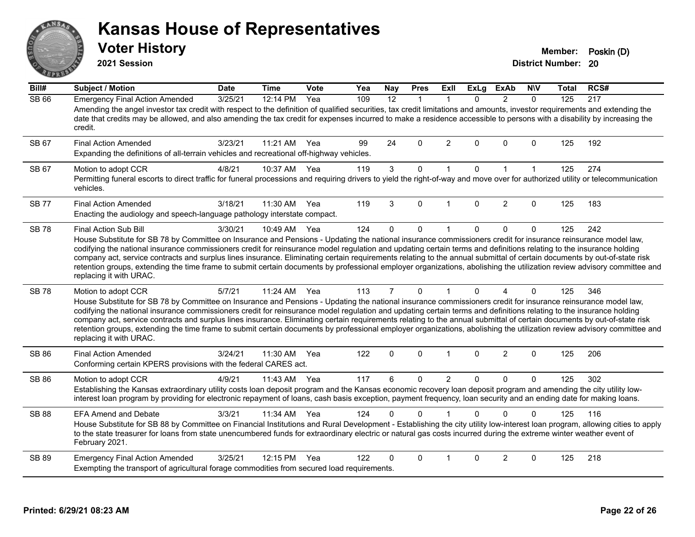# ANS **PIVE**

#### **Kansas House of Representatives**

**2021 Session**

**Voter History Member: Poskin (D)** 

| Bill#        | <b>Subject / Motion</b>                                                                                                                                                                                                                                                                                                                                                                                                                                                                                                                                                                                                                                                                                                                        | <b>Date</b> | <b>Time</b> | Vote | Yea | <b>Nay</b>     | <b>Pres</b>  | <b>ExII</b>          | <b>ExLg</b> | <b>ExAb</b>    | <b>NIV</b>   | <b>Total</b> | RCS# |
|--------------|------------------------------------------------------------------------------------------------------------------------------------------------------------------------------------------------------------------------------------------------------------------------------------------------------------------------------------------------------------------------------------------------------------------------------------------------------------------------------------------------------------------------------------------------------------------------------------------------------------------------------------------------------------------------------------------------------------------------------------------------|-------------|-------------|------|-----|----------------|--------------|----------------------|-------------|----------------|--------------|--------------|------|
| <b>SB 66</b> | <b>Emergency Final Action Amended</b><br>Amending the angel investor tax credit with respect to the definition of qualified securities, tax credit limitations and amounts, investor requirements and extending the<br>date that credits may be allowed, and also amending the tax credit for expenses incurred to make a residence accessible to persons with a disability by increasing the<br>credit.                                                                                                                                                                                                                                                                                                                                       | 3/25/21     | 12:14 PM    | Yea  | 109 | 12             | $\mathbf{1}$ | $\mathbf{1}$         | 0           | $\overline{2}$ | $\mathbf{0}$ | 125          | 217  |
| SB 67        | <b>Final Action Amended</b><br>Expanding the definitions of all-terrain vehicles and recreational off-highway vehicles.                                                                                                                                                                                                                                                                                                                                                                                                                                                                                                                                                                                                                        | 3/23/21     | 11:21 AM    | Yea  | 99  | 24             | $\Omega$     | $\overline{2}$       | $\Omega$    | $\mathbf{0}$   | $\mathbf 0$  | 125          | 192  |
| SB 67        | Motion to adopt CCR<br>Permitting funeral escorts to direct traffic for funeral processions and requiring drivers to yield the right-of-way and move over for authorized utility or telecommunication<br>vehicles.                                                                                                                                                                                                                                                                                                                                                                                                                                                                                                                             | 4/8/21      | 10:37 AM    | Yea  | 119 | 3              | 0            | $\mathbf{1}$         | $\mathbf 0$ | 1              | $\mathbf{1}$ | 125          | 274  |
| <b>SB77</b>  | <b>Final Action Amended</b><br>Enacting the audiology and speech-language pathology interstate compact.                                                                                                                                                                                                                                                                                                                                                                                                                                                                                                                                                                                                                                        | 3/18/21     | 11:30 AM    | Yea  | 119 | 3              | $\Omega$     | $\mathbf{1}$         | $\Omega$    | 2              | $\Omega$     | 125          | 183  |
| <b>SB78</b>  | Final Action Sub Bill<br>House Substitute for SB 78 by Committee on Insurance and Pensions - Updating the national insurance commissioners credit for insurance reinsurance model law,<br>codifying the national insurance commissioners credit for reinsurance model regulation and updating certain terms and definitions relating to the insurance holding<br>company act, service contracts and surplus lines insurance. Eliminating certain requirements relating to the annual submittal of certain documents by out-of-state risk<br>retention groups, extending the time frame to submit certain documents by professional employer organizations, abolishing the utilization review advisory committee and<br>replacing it with URAC. | 3/30/21     | 10:49 AM    | Yea  | 124 | $\mathbf{0}$   | $\Omega$     | $\mathbf{1}$         | $\Omega$    | $\mathbf{0}$   | $\Omega$     | 125          | 242  |
| <b>SB78</b>  | Motion to adopt CCR<br>House Substitute for SB 78 by Committee on Insurance and Pensions - Updating the national insurance commissioners credit for insurance reinsurance model law,<br>codifying the national insurance commissioners credit for reinsurance model regulation and updating certain terms and definitions relating to the insurance holding<br>company act, service contracts and surplus lines insurance. Eliminating certain requirements relating to the annual submittal of certain documents by out-of-state risk<br>retention groups, extending the time frame to submit certain documents by professional employer organizations, abolishing the utilization review advisory committee and<br>replacing it with URAC.   | 5/7/21      | 11:24 AM    | Yea  | 113 | $\overline{7}$ | $\mathbf{0}$ | 1                    | $\Omega$    | 4              | $\Omega$     | 125          | 346  |
| <b>SB 86</b> | <b>Final Action Amended</b><br>Conforming certain KPERS provisions with the federal CARES act.                                                                                                                                                                                                                                                                                                                                                                                                                                                                                                                                                                                                                                                 | 3/24/21     | 11:30 AM    | Yea  | 122 | $\mathbf 0$    | $\mathbf 0$  | $\mathbf{1}$         | $\Omega$    | $\overline{2}$ | 0            | 125          | 206  |
| <b>SB 86</b> | Motion to adopt CCR<br>Establishing the Kansas extraordinary utility costs loan deposit program and the Kansas economic recovery loan deposit program and amending the city utility low-<br>interest loan program by providing for electronic repayment of loans, cash basis exception, payment frequency, loan security and an ending date for making loans.                                                                                                                                                                                                                                                                                                                                                                                  | 4/9/21      | 11:43 AM    | Yea  | 117 | 6              | 0            | $\overline{2}$       | $\Omega$    | $\mathbf{0}$   | $\Omega$     | 125          | 302  |
| <b>SB 88</b> | <b>EFA Amend and Debate</b><br>House Substitute for SB 88 by Committee on Financial Institutions and Rural Development - Establishing the city utility low-interest loan program, allowing cities to apply<br>to the state treasurer for loans from state unencumbered funds for extraordinary electric or natural gas costs incurred during the extreme winter weather event of<br>February 2021.                                                                                                                                                                                                                                                                                                                                             | 3/3/21      | 11:34 AM    | Yea  | 124 | 0              | $\Omega$     |                      | 0           | $\Omega$       | $\Omega$     | 125          | 116  |
| SB 89        | <b>Emergency Final Action Amended</b><br>Exempting the transport of agricultural forage commodities from secured load requirements.                                                                                                                                                                                                                                                                                                                                                                                                                                                                                                                                                                                                            | 3/25/21     | 12:15 PM    | Yea  | 122 | $\Omega$       | $\Omega$     | $\blacktriangleleft$ | $\Omega$    | 2              | $\Omega$     | 125          | 218  |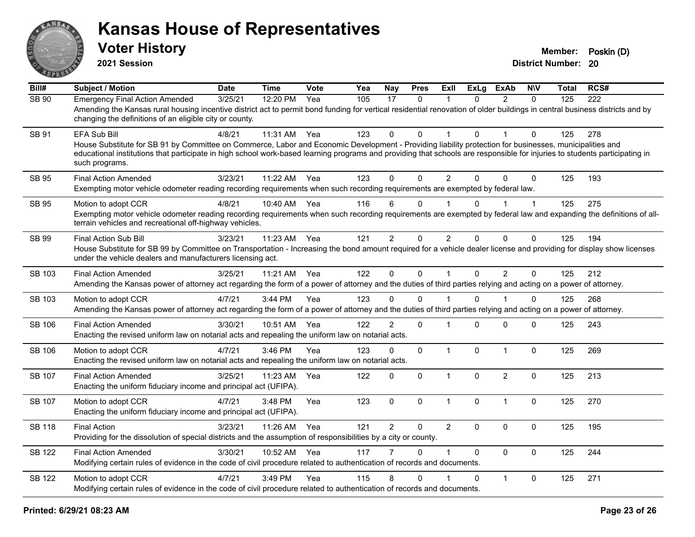

| $\overline{BiII#}$ | <b>Subject / Motion</b>                                                                                                                                                                                                                                                                                                                                                 | <b>Date</b> | <b>Time</b> | Vote | Yea | Nay            | <b>Pres</b>  | <b>Exll</b>    | <b>ExLg</b>  | <b>ExAb</b>    | <b>NIV</b>   | <b>Total</b> | RCS# |
|--------------------|-------------------------------------------------------------------------------------------------------------------------------------------------------------------------------------------------------------------------------------------------------------------------------------------------------------------------------------------------------------------------|-------------|-------------|------|-----|----------------|--------------|----------------|--------------|----------------|--------------|--------------|------|
| SB 90              | <b>Emergency Final Action Amended</b><br>Amending the Kansas rural housing incentive district act to permit bond funding for vertical residential renovation of older buildings in central business districts and by<br>changing the definitions of an eligible city or county.                                                                                         | 3/25/21     | 12:20 PM    | Yea  | 105 | 17             | $\Omega$     |                | $\Omega$     | $\mathcal{P}$  | $\Omega$     | 125          | 222  |
| SB 91              | EFA Sub Bill<br>House Substitute for SB 91 by Committee on Commerce, Labor and Economic Development - Providing liability protection for businesses, municipalities and<br>educational institutions that participate in high school work-based learning programs and providing that schools are responsible for injuries to students participating in<br>such programs. | 4/8/21      | 11:31 AM    | Yea  | 123 | $\mathbf{0}$   | $\Omega$     |                | $\Omega$     |                | $\Omega$     | 125          | 278  |
| <b>SB 95</b>       | <b>Final Action Amended</b><br>Exempting motor vehicle odometer reading recording requirements when such recording requirements are exempted by federal law.                                                                                                                                                                                                            | 3/23/21     | 11:22 AM    | Yea  | 123 | $\Omega$       | $\Omega$     | $\overline{2}$ | $\Omega$     | $\Omega$       | $\mathbf{0}$ | 125          | 193  |
| <b>SB 95</b>       | Motion to adopt CCR<br>Exempting motor vehicle odometer reading recording requirements when such recording requirements are exempted by federal law and expanding the definitions of all-<br>terrain vehicles and recreational off-highway vehicles.                                                                                                                    | 4/8/21      | 10:40 AM    | Yea  | 116 | 6              | $\Omega$     |                | $\mathbf{0}$ |                | $\mathbf{1}$ | 125          | 275  |
| SB 99              | Final Action Sub Bill<br>House Substitute for SB 99 by Committee on Transportation - Increasing the bond amount required for a vehicle dealer license and providing for display show licenses<br>under the vehicle dealers and manufacturers licensing act.                                                                                                             | 3/23/21     | 11:23 AM    | Yea  | 121 | 2              | $\Omega$     | $\mathcal{P}$  | $\Omega$     | $\Omega$       | $\Omega$     | 125          | 194  |
| SB 103             | <b>Final Action Amended</b><br>Amending the Kansas power of attorney act regarding the form of a power of attorney and the duties of third parties relying and acting on a power of attorney.                                                                                                                                                                           | 3/25/21     | 11:21 AM    | Yea  | 122 | $\mathbf 0$    | $\mathbf 0$  |                | $\mathbf 0$  | $\overline{2}$ | $\mathbf{0}$ | 125          | 212  |
| SB 103             | Motion to adopt CCR<br>Amending the Kansas power of attorney act regarding the form of a power of attorney and the duties of third parties relying and acting on a power of attorney.                                                                                                                                                                                   | 4/7/21      | 3:44 PM     | Yea  | 123 | $\Omega$       | $\Omega$     |                | $\Omega$     |                | $\Omega$     | 125          | 268  |
| SB 106             | <b>Final Action Amended</b><br>Enacting the revised uniform law on notarial acts and repealing the uniform law on notarial acts.                                                                                                                                                                                                                                        | 3/30/21     | 10:51 AM    | Yea  | 122 | $\overline{2}$ | $\Omega$     |                | $\Omega$     | $\Omega$       | $\Omega$     | 125          | 243  |
| <b>SB 106</b>      | Motion to adopt CCR<br>Enacting the revised uniform law on notarial acts and repealing the uniform law on notarial acts.                                                                                                                                                                                                                                                | 4/7/21      | 3:46 PM     | Yea  | 123 | $\mathbf 0$    | $\mathbf 0$  | $\mathbf{1}$   | $\mathbf 0$  | $\overline{1}$ | $\mathbf 0$  | 125          | 269  |
| <b>SB 107</b>      | <b>Final Action Amended</b><br>Enacting the uniform fiduciary income and principal act (UFIPA).                                                                                                                                                                                                                                                                         | 3/25/21     | 11:23 AM    | Yea  | 122 | $\mathbf{0}$   | $\mathbf{0}$ | $\mathbf{1}$   | $\mathbf{0}$ | $\overline{2}$ | $\Omega$     | 125          | 213  |
| SB 107             | Motion to adopt CCR<br>Enacting the uniform fiduciary income and principal act (UFIPA).                                                                                                                                                                                                                                                                                 | 4/7/21      | 3:48 PM     | Yea  | 123 | $\mathbf 0$    | $\mathbf 0$  | $\mathbf{1}$   | 0            | $\mathbf{1}$   | $\mathbf 0$  | 125          | 270  |
| <b>SB 118</b>      | <b>Final Action</b><br>Providing for the dissolution of special districts and the assumption of responsibilities by a city or county.                                                                                                                                                                                                                                   | 3/23/21     | 11:26 AM    | Yea  | 121 | $\overline{2}$ | $\mathbf 0$  | $\overline{2}$ | $\Omega$     | $\Omega$       | $\mathbf 0$  | 125          | 195  |
| SB 122             | <b>Final Action Amended</b><br>Modifying certain rules of evidence in the code of civil procedure related to authentication of records and documents.                                                                                                                                                                                                                   | 3/30/21     | 10:52 AM    | Yea  | 117 | 7              | $\Omega$     |                | $\Omega$     | $\Omega$       | $\mathbf{0}$ | 125          | 244  |
| SB 122             | Motion to adopt CCR<br>Modifying certain rules of evidence in the code of civil procedure related to authentication of records and documents.                                                                                                                                                                                                                           | 4/7/21      | 3:49 PM     | Yea  | 115 | 8              | 0            |                | $\Omega$     | $\mathbf{1}$   | 0            | 125          | 271  |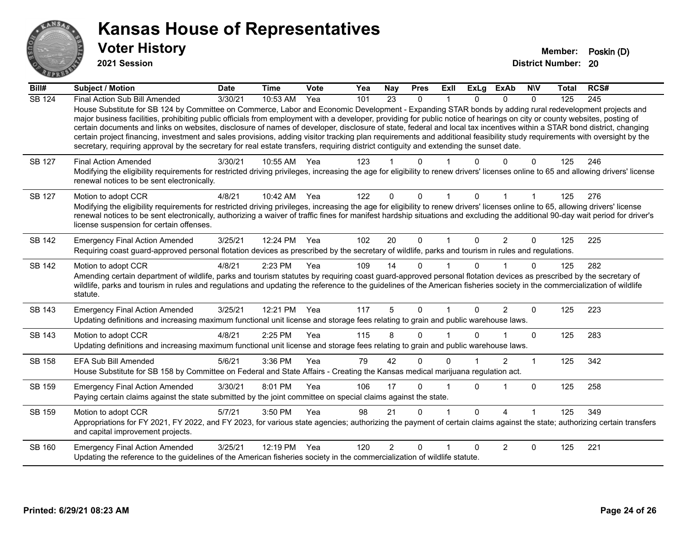

**2021 Session**

| Bill#         | Subject / Motion                                                                                                                                                                                                                                                                                                                                                                                                                                                                                                                                                                                                                                                                                                                                                                                                                                                     | <b>Date</b> | <b>Time</b> | <b>Vote</b> | Yea | <b>Nay</b>     | <b>Pres</b>  | Exll         | <b>ExLg</b>  | <b>ExAb</b>    | <b>NIV</b>     | <b>Total</b> | RCS# |
|---------------|----------------------------------------------------------------------------------------------------------------------------------------------------------------------------------------------------------------------------------------------------------------------------------------------------------------------------------------------------------------------------------------------------------------------------------------------------------------------------------------------------------------------------------------------------------------------------------------------------------------------------------------------------------------------------------------------------------------------------------------------------------------------------------------------------------------------------------------------------------------------|-------------|-------------|-------------|-----|----------------|--------------|--------------|--------------|----------------|----------------|--------------|------|
| <b>SB 124</b> | Final Action Sub Bill Amended<br>House Substitute for SB 124 by Committee on Commerce, Labor and Economic Development - Expanding STAR bonds by adding rural redevelopment projects and<br>major business facilities, prohibiting public officials from employment with a developer, providing for public notice of hearings on city or county websites, posting of<br>certain documents and links on websites, disclosure of names of developer, disclosure of state, federal and local tax incentives within a STAR bond district, changing<br>certain project financing, investment and sales provisions, adding visitor tracking plan requirements and additional feasibility study requirements with oversight by the<br>secretary, requiring approval by the secretary for real estate transfers, requiring district contiguity and extending the sunset date. | 3/30/21     | 10:53 AM    | Yea         | 101 | 23             | 0            |              | <sup>0</sup> | $\Omega$       | $\Omega$       | 125          | 245  |
| SB 127        | <b>Final Action Amended</b><br>Modifying the eligibility requirements for restricted driving privileges, increasing the age for eligibility to renew drivers' licenses online to 65 and allowing drivers' license<br>renewal notices to be sent electronically.                                                                                                                                                                                                                                                                                                                                                                                                                                                                                                                                                                                                      | 3/30/21     | 10:55 AM    | Yea         | 123 |                |              |              |              |                | 0              | 125          | 246  |
| <b>SB 127</b> | Motion to adopt CCR<br>Modifying the eligibility requirements for restricted driving privileges, increasing the age for eligibility to renew drivers' licenses online to 65, allowing drivers' license<br>renewal notices to be sent electronically, authorizing a waiver of traffic fines for manifest hardship situations and excluding the additional 90-day wait period for driver's<br>license suspension for certain offenses.                                                                                                                                                                                                                                                                                                                                                                                                                                 | 4/8/21      | 10:42 AM    | Yea         | 122 | $\Omega$       | $\Omega$     |              | U            |                |                | 125          | 276  |
| <b>SB 142</b> | <b>Emergency Final Action Amended</b><br>Requiring coast guard-approved personal flotation devices as prescribed by the secretary of wildlife, parks and tourism in rules and regulations.                                                                                                                                                                                                                                                                                                                                                                                                                                                                                                                                                                                                                                                                           | 3/25/21     | 12:24 PM    | Yea         | 102 | 20             | $\mathbf{0}$ | $\mathbf{1}$ | $\Omega$     | $\overline{2}$ | $\Omega$       | 125          | 225  |
| <b>SB 142</b> | Motion to adopt CCR<br>Amending certain department of wildlife, parks and tourism statutes by requiring coast guard-approved personal flotation devices as prescribed by the secretary of<br>wildlife, parks and tourism in rules and regulations and updating the reference to the guidelines of the American fisheries society in the commercialization of wildlife<br>statute.                                                                                                                                                                                                                                                                                                                                                                                                                                                                                    | 4/8/21      | 2:23 PM     | Yea         | 109 | 14             | 0            |              |              |                | $\Omega$       | 125          | 282  |
| SB 143        | <b>Emergency Final Action Amended</b><br>Updating definitions and increasing maximum functional unit license and storage fees relating to grain and public warehouse laws.                                                                                                                                                                                                                                                                                                                                                                                                                                                                                                                                                                                                                                                                                           | 3/25/21     | 12:21 PM    | Yea         | 117 | 5              | $\Omega$     |              | $\Omega$     | $\overline{2}$ | $\Omega$       | 125          | 223  |
| <b>SB 143</b> | Motion to adopt CCR<br>Updating definitions and increasing maximum functional unit license and storage fees relating to grain and public warehouse laws.                                                                                                                                                                                                                                                                                                                                                                                                                                                                                                                                                                                                                                                                                                             | 4/8/21      | 2:25 PM     | Yea         | 115 | 8              | 0            |              |              |                | $\Omega$       | 125          | 283  |
| SB 158        | EFA Sub Bill Amended<br>House Substitute for SB 158 by Committee on Federal and State Affairs - Creating the Kansas medical marijuana regulation act.                                                                                                                                                                                                                                                                                                                                                                                                                                                                                                                                                                                                                                                                                                                | 5/6/21      | 3:36 PM     | Yea         | 79  | 42             | 0            | 0            |              | 2              | $\overline{1}$ | 125          | 342  |
| SB 159        | <b>Emergency Final Action Amended</b><br>Paying certain claims against the state submitted by the joint committee on special claims against the state.                                                                                                                                                                                                                                                                                                                                                                                                                                                                                                                                                                                                                                                                                                               | 3/30/21     | 8:01 PM     | Yea         | 106 | 17             | 0            |              | $\Omega$     |                | $\mathbf 0$    | 125          | 258  |
| SB 159        | Motion to adopt CCR<br>Appropriations for FY 2021, FY 2022, and FY 2023, for various state agencies; authorizing the payment of certain claims against the state; authorizing certain transfers<br>and capital improvement projects.                                                                                                                                                                                                                                                                                                                                                                                                                                                                                                                                                                                                                                 | 5/7/21      | 3:50 PM     | Yea         | 98  | 21             | 0            |              | $\Omega$     | 4              |                | 125          | 349  |
| SB 160        | <b>Emergency Final Action Amended</b><br>Updating the reference to the guidelines of the American fisheries society in the commercialization of wildlife statute.                                                                                                                                                                                                                                                                                                                                                                                                                                                                                                                                                                                                                                                                                                    | 3/25/21     | 12:19 PM    | Yea         | 120 | $\overline{2}$ | $\Omega$     |              |              | 2              | $\Omega$       | 125          | 221  |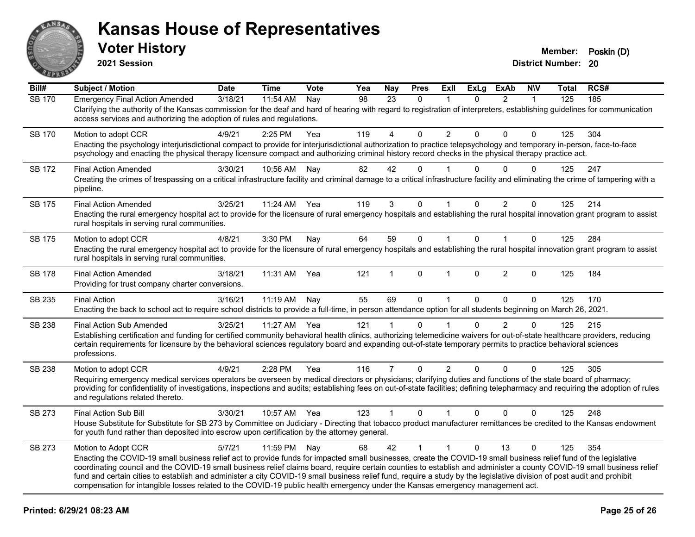

**2021 Session**

**Bill# Subject / Motion Date Time Vote Yea Nay Pres Exll ExLg ExAb N\V Total RCS#** SB 170 Emergency Final Action Amended 3/18/21 11:54 AM Nay 98 23 0 1 0 2 1 125 185 Clarifying the authority of the Kansas commission for the deaf and hard of hearing with regard to registration of interpreters, establishing guidelines for communication access services and authorizing the adoption of rules and regulations. SB 170 Motion to adopt CCR 4/9/21 2:25 PM Yea 119 4 0 2 0 0 0 125 304 Enacting the psychology interjurisdictional compact to provide for interjurisdictional authorization to practice telepsychology and temporary in-person, face-to-face psychology and enacting the physical therapy licensure compact and authorizing criminal history record checks in the physical therapy practice act. SB 172 Final Action Amended and the 3/30/21 10:56 AM Nay  $\begin{array}{cccccc} 82 & 42 & 0 & 1 & 0 & 0 & 0 & 125 & 247 \end{array}$ Creating the crimes of trespassing on a critical infrastructure facility and criminal damage to a critical infrastructure facility and eliminating the crime of tampering with a pipeline. SB 175 Final Action Amended and the 3/25/21 11:24 AM Yea 119 10 1 1 0 1 0 1 1 0 1 125 214 Enacting the rural emergency hospital act to provide for the licensure of rural emergency hospitals and establishing the rural hospital innovation grant program to assist rural hospitals in serving rural communities. SB 175 Motion to adopt CCR 4/8/21 3:30 PM Nav 64 59 0 1 0 1 0 125 284 Enacting the rural emergency hospital act to provide for the licensure of rural emergency hospitals and establishing the rural hospital innovation grant program to assist rural hospitals in serving rural communities. SB 178 Final Action Amended 3/18/21 11:31 AM Yea 121 1 0 1 0 2 0 125 184 Providing for trust company charter conversions. SB 235 Final Action 3/16/21 11:19 AM Nay 55 69 0 1 0 0 0 125 170 Enacting the back to school act to require school districts to provide a full-time, in person attendance option for all students beginning on March 26, 2021. SB 238 Final Action Sub Amended 3/25/21 11:27 AM Yea 121 1 0 1 0 2 0 125 215 Establishing certification and funding for certified community behavioral health clinics, authorizing telemedicine waivers for out-of-state healthcare providers, reducing certain requirements for licensure by the behavioral sciences regulatory board and expanding out-of-state temporary permits to practice behavioral sciences professions. SB 238 Motion to adopt CCR 4/9/21 2:28 PM Yea 116 7 0 2 0 0 0 125 305 Requiring emergency medical services operators be overseen by medical directors or physicians; clarifying duties and functions of the state board of pharmacy; providing for confidentiality of investigations, inspections and audits; establishing fees on out-of-state facilities; defining telepharmacy and requiring the adoption of rules and regulations related thereto. SB 273 Final Action Sub Bill 3/30/21 10:57 AM Yea 123 1 0 1 0 0 0 125 248 House Substitute for Substitute for SB 273 by Committee on Judiciary - Directing that tobacco product manufacturer remittances be credited to the Kansas endowment for youth fund rather than deposited into escrow upon certification by the attorney general. SB 273 Motion to Adopt CCR 5/7/21 11:59 PM Nay 68 42 1 1 0 13 0 125 354 Enacting the COVID-19 small business relief act to provide funds for impacted small businesses, create the COVID-19 small business relief fund of the legislative coordinating council and the COVID-19 small business relief claims board, require certain counties to establish and administer a county COVID-19 small business relief fund and certain cities to establish and administer a city COVID-19 small business relief fund, require a study by the legislative division of post audit and prohibit compensation for intangible losses related to the COVID-19 public health emergency under the Kansas emergency management act.